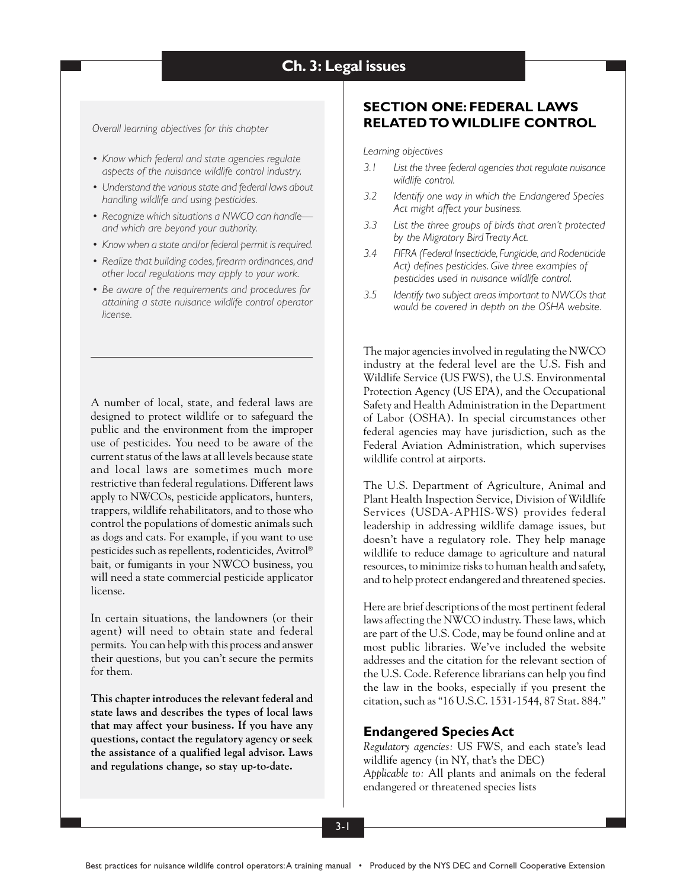## **Ch. 3: Legal issues**

*Overall learning objectives for this chapter*

- *• Know which federal and state agencies regulate aspects of the nuisance wildlife control industry.*
- *• Understand the various state and federal laws about handling wildlife and using pesticides.*
- *• Recognize which situations a NWCO can handle and which are beyond your authority.*
- *• Know when a state and/or federal permit is required.*
- *• Realize that building codes, firearm ordinances, and other local regulations may apply to your work.*
- *• Be aware of the requirements and procedures for attaining a state nuisance wildlife control operator license.*

A number of local, state, and federal laws are designed to protect wildlife or to safeguard the public and the environment from the improper use of pesticides. You need to be aware of the current status of the laws at all levels because state and local laws are sometimes much more restrictive than federal regulations. Different laws apply to NWCOs, pesticide applicators, hunters, trappers, wildlife rehabilitators, and to those who control the populations of domestic animals such as dogs and cats. For example, if you want to use pesticides such as repellents, rodenticides, Avitrol® bait, or fumigants in your NWCO business, you will need a state commercial pesticide applicator license.

In certain situations, the landowners (or their agent) will need to obtain state and federal permits. You can help with this process and answer their questions, but you can't secure the permits for them.

**This chapter introduces the relevant federal and state laws and describes the types of local laws that may affect your business. If you have any questions, contact the regulatory agency or seek the assistance of a qualified legal advisor. Laws and regulations change, so stay up-to-date.**

## **SECTION ONE: FEDERAL LAWS RELATED TO WILDLIFE CONTROL**

*Learning objectives*

- *3.1 List the three federal agencies that regulate nuisance wildlife control.*
- *3.2 Identify one way in which the Endangered Species Act might affect your business.*
- *3.3 List the three groups of birds that aren't protected by the Migratory Bird Treaty Act.*
- *3.4 FIFRA (Federal Insecticide, Fungicide, and Rodenticide Act) defines pesticides. Give three examples of pesticides used in nuisance wildlife control.*
- *3.5 Identify two subject areas important to NWCOs that would be covered in depth on the OSHA website.*

The major agencies involved in regulating the NWCO industry at the federal level are the U.S. Fish and Wildlife Service (US FWS), the U.S. Environmental Protection Agency (US EPA), and the Occupational Safety and Health Administration in the Department of Labor (OSHA). In special circumstances other federal agencies may have jurisdiction, such as the Federal Aviation Administration, which supervises wildlife control at airports.

The U.S. Department of Agriculture, Animal and Plant Health Inspection Service, Division of Wildlife Services (USDA-APHIS-WS) provides federal leadership in addressing wildlife damage issues, but doesn't have a regulatory role. They help manage wildlife to reduce damage to agriculture and natural resources, to minimize risks to human health and safety, and to help protect endangered and threatened species.

Here are brief descriptions of the most pertinent federal laws affecting the NWCO industry. These laws, which are part of the U.S. Code, may be found online and at most public libraries. We've included the website addresses and the citation for the relevant section of the U.S. Code. Reference librarians can help you find the law in the books, especially if you present the citation, such as "16 U.S.C. 1531-1544, 87 Stat. 884."

#### **Endangered Species Act**

*Regulatory agencies:* US FWS, and each state's lead wildlife agency (in NY, that's the DEC) *Applicable to:* All plants and animals on the federal endangered or threatened species lists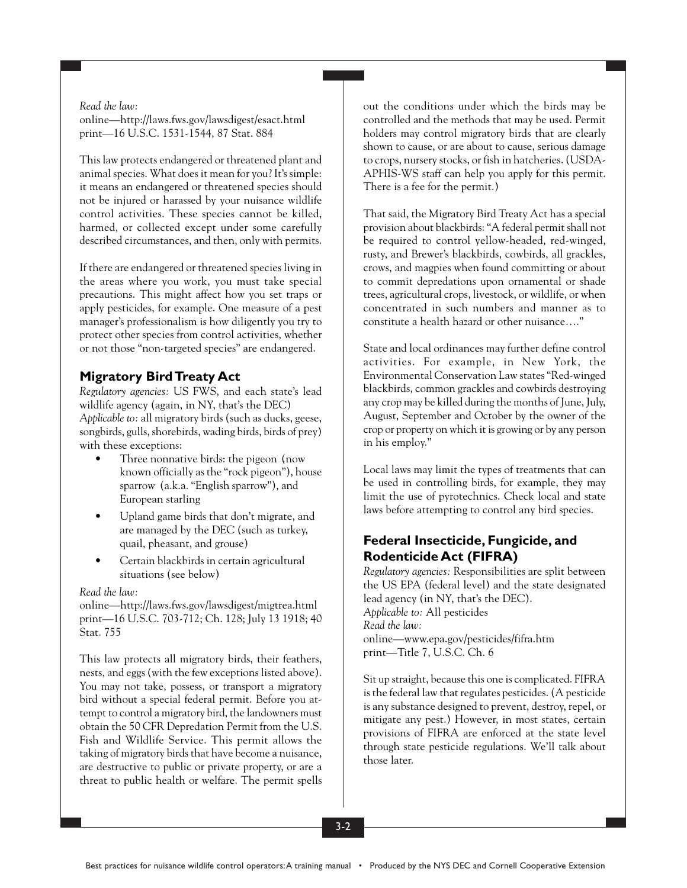*Read the law:* online—http://laws.fws.gov/lawsdigest/esact.html print—16 U.S.C. 1531-1544, 87 Stat. 884

This law protects endangered or threatened plant and animal species. What does it mean for you? It's simple: it means an endangered or threatened species should not be injured or harassed by your nuisance wildlife control activities. These species cannot be killed, harmed, or collected except under some carefully described circumstances, and then, only with permits.

If there are endangered or threatened species living in the areas where you work, you must take special precautions. This might affect how you set traps or apply pesticides, for example. One measure of a pest manager's professionalism is how diligently you try to protect other species from control activities, whether or not those "non-targeted species" are endangered.

## **Migratory Bird Treaty Act**

*Regulatory agencies:* US FWS, and each state's lead wildlife agency (again, in NY, that's the DEC) *Applicable to:* all migratory birds (such as ducks, geese, songbirds, gulls, shorebirds, wading birds, birds of prey) with these exceptions:

- Three nonnative birds: the pigeon (now known officially as the "rock pigeon"), house sparrow (a.k.a. "English sparrow"), and European starling
- Upland game birds that don't migrate, and are managed by the DEC (such as turkey, quail, pheasant, and grouse)
- Certain blackbirds in certain agricultural situations (see below)

### *Read the law:*

online—http://laws.fws.gov/lawsdigest/migtrea.html print—16 U.S.C. 703-712; Ch. 128; July 13 1918; 40 Stat. 755

This law protects all migratory birds, their feathers, nests, and eggs (with the few exceptions listed above). You may not take, possess, or transport a migratory bird without a special federal permit. Before you attempt to control a migratory bird, the landowners must obtain the 50 CFR Depredation Permit from the U.S. Fish and Wildlife Service. This permit allows the taking of migratory birds that have become a nuisance, are destructive to public or private property, or are a threat to public health or welfare. The permit spells out the conditions under which the birds may be controlled and the methods that may be used. Permit holders may control migratory birds that are clearly shown to cause, or are about to cause, serious damage to crops, nursery stocks, or fish in hatcheries. (USDA-APHIS-WS staff can help you apply for this permit. There is a fee for the permit.)

That said, the Migratory Bird Treaty Act has a special provision about blackbirds: "A federal permit shall not be required to control yellow-headed, red-winged, rusty, and Brewer's blackbirds, cowbirds, all grackles, crows, and magpies when found committing or about to commit depredations upon ornamental or shade trees, agricultural crops, livestock, or wildlife, or when concentrated in such numbers and manner as to constitute a health hazard or other nuisance…."

State and local ordinances may further define control activities. For example, in New York, the Environmental Conservation Law states "Red-winged blackbirds, common grackles and cowbirds destroying any crop may be killed during the months of June, July, August, September and October by the owner of the crop or property on which it is growing or by any person in his employ."

Local laws may limit the types of treatments that can be used in controlling birds, for example, they may limit the use of pyrotechnics. Check local and state laws before attempting to control any bird species.

## **Federal Insecticide, Fungicide, and Rodenticide Act (FIFRA)**

*Regulatory agencies:* Responsibilities are split between the US EPA (federal level) and the state designated lead agency (in NY, that's the DEC). *Applicable to:* All pesticides *Read the law:* online—www.epa.gov/pesticides/fifra.htm print—Title 7, U.S.C. Ch. 6

Sit up straight, because this one is complicated. FIFRA is the federal law that regulates pesticides. (A pesticide is any substance designed to prevent, destroy, repel, or mitigate any pest.) However, in most states, certain provisions of FIFRA are enforced at the state level through state pesticide regulations. We'll talk about those later.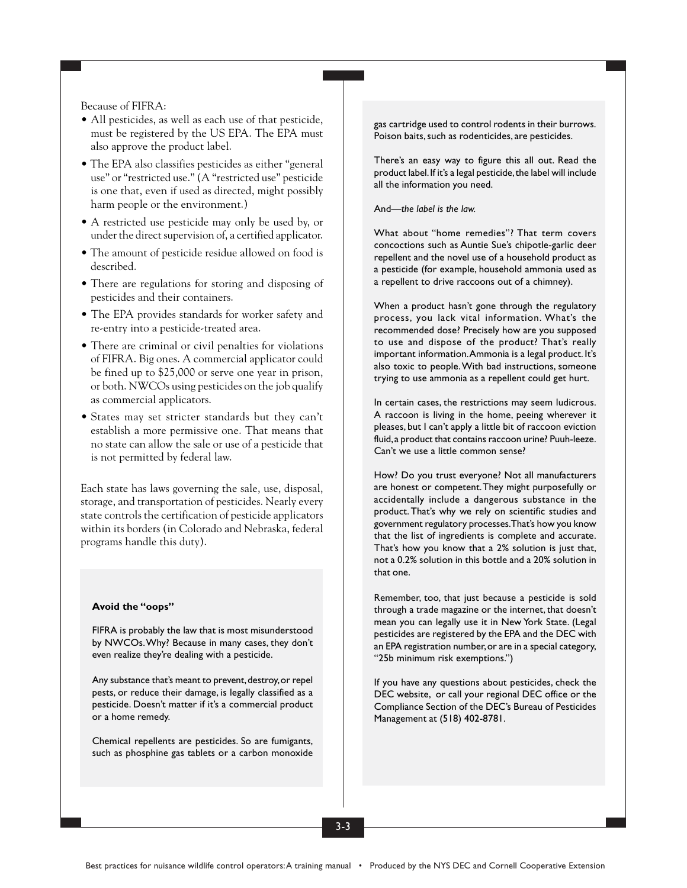Because of FIFRA:

- All pesticides, as well as each use of that pesticide, must be registered by the US EPA. The EPA must also approve the product label.
- The EPA also classifies pesticides as either "general use" or "restricted use." (A "restricted use" pesticide is one that, even if used as directed, might possibly harm people or the environment.)
- A restricted use pesticide may only be used by, or under the direct supervision of, a certified applicator.
- The amount of pesticide residue allowed on food is described.
- There are regulations for storing and disposing of pesticides and their containers.
- The EPA provides standards for worker safety and re-entry into a pesticide-treated area.
- There are criminal or civil penalties for violations of FIFRA. Big ones. A commercial applicator could be fined up to \$25,000 or serve one year in prison, or both. NWCOs using pesticides on the job qualify as commercial applicators.
- States may set stricter standards but they can't establish a more permissive one. That means that no state can allow the sale or use of a pesticide that is not permitted by federal law.

Each state has laws governing the sale, use, disposal, storage, and transportation of pesticides. Nearly every state controls the certification of pesticide applicators within its borders (in Colorado and Nebraska, federal programs handle this duty).

#### **Avoid the "oops"**

FIFRA is probably the law that is most misunderstood by NWCOs. Why? Because in many cases, they don't even realize they're dealing with a pesticide.

Any substance that's meant to prevent, destroy, or repel pests, or reduce their damage, is legally classified as a pesticide. Doesn't matter if it's a commercial product or a home remedy.

Chemical repellents are pesticides. So are fumigants, such as phosphine gas tablets or a carbon monoxide

gas cartridge used to control rodents in their burrows. Poison baits, such as rodenticides, are pesticides.

There's an easy way to figure this all out. Read the product label. If it's a legal pesticide, the label will include all the information you need.

#### And—*the label is the law.*

What about "home remedies"? That term covers concoctions such as Auntie Sue's chipotle-garlic deer repellent and the novel use of a household product as a pesticide (for example, household ammonia used as a repellent to drive raccoons out of a chimney).

When a product hasn't gone through the regulatory process, you lack vital information. What's the recommended dose? Precisely how are you supposed to use and dispose of the product? That's really important information. Ammonia is a legal product. It's also toxic to people. With bad instructions, someone trying to use ammonia as a repellent could get hurt.

In certain cases, the restrictions may seem ludicrous. A raccoon is living in the home, peeing wherever it pleases, but I can't apply a little bit of raccoon eviction fluid, a product that contains raccoon urine? Puuh-leeze. Can't we use a little common sense?

How? Do you trust everyone? Not all manufacturers are honest or competent. They might purposefully or accidentally include a dangerous substance in the product. That's why we rely on scientific studies and government regulatory processes. That's how you know that the list of ingredients is complete and accurate. That's how you know that a 2% solution is just that, not a 0.2% solution in this bottle and a 20% solution in that one.

Remember, too, that just because a pesticide is sold through a trade magazine or the internet, that doesn't mean you can legally use it in New York State. (Legal pesticides are registered by the EPA and the DEC with an EPA registration number, or are in a special category, "25b minimum risk exemptions.")

If you have any questions about pesticides, check the DEC website, or call your regional DEC office or the Compliance Section of the DEC's Bureau of Pesticides Management at (518) 402-8781.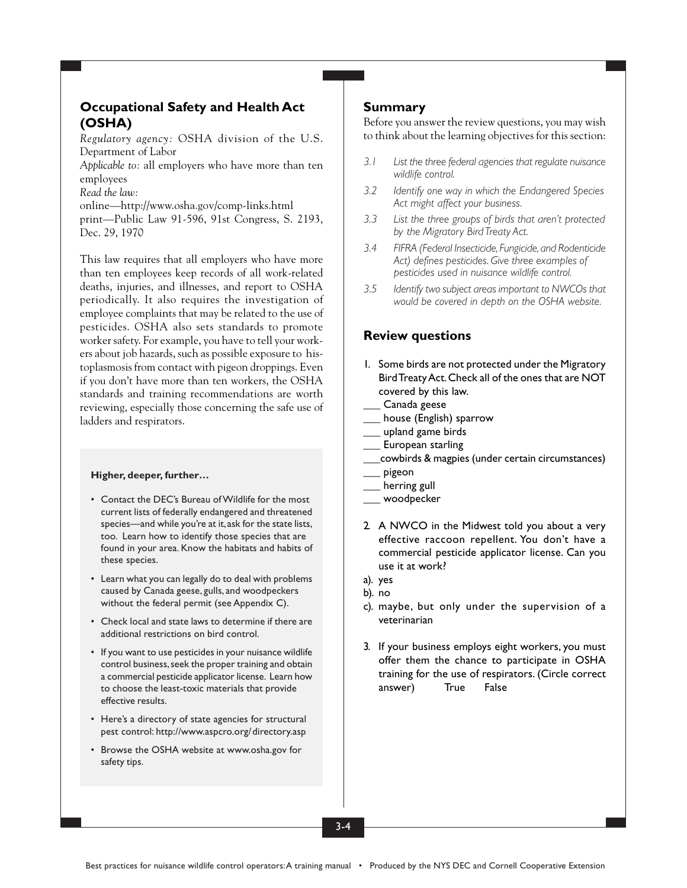## **Occupational Safety and Health Act (OSHA)**

*Regulatory agency:* OSHA division of the U.S. Department of Labor

*Applicable to:* all employers who have more than ten employees

*Read the law:*

online—http://www.osha.gov/comp-links.html print—Public Law 91-596, 91st Congress, S. 2193, Dec. 29, 1970

This law requires that all employers who have more than ten employees keep records of all work-related deaths, injuries, and illnesses, and report to OSHA periodically. It also requires the investigation of employee complaints that may be related to the use of pesticides. OSHA also sets standards to promote worker safety. For example, you have to tell your workers about job hazards, such as possible exposure to histoplasmosis from contact with pigeon droppings. Even if you don't have more than ten workers, the OSHA standards and training recommendations are worth reviewing, especially those concerning the safe use of ladders and respirators.

#### **Higher, deeper, further…**

- Contact the DEC's Bureau of Wildlife for the most current lists of federally endangered and threatened species—and while you're at it, ask for the state lists, too. Learn how to identify those species that are found in your area. Know the habitats and habits of these species.
- Learn what you can legally do to deal with problems caused by Canada geese, gulls, and woodpeckers without the federal permit (see Appendix C).
- Check local and state laws to determine if there are additional restrictions on bird control.
- If you want to use pesticides in your nuisance wildlife control business, seek the proper training and obtain a commercial pesticide applicator license. Learn how to choose the least-toxic materials that provide effective results.
- Here's a directory of state agencies for structural pest control: http://www.aspcro.org/directory.asp
- Browse the OSHA website at www.osha.gov for safety tips.

### **Summary**

Before you answer the review questions, you may wish to think about the learning objectives for this section:

- *3.1 List the three federal agencies that regulate nuisance wildlife control.*
- *3.2 Identify one way in which the Endangered Species Act might affect your business.*
- *3.3 List the three groups of birds that aren't protected by the Migratory Bird Treaty Act.*
- *3.4 FIFRA (Federal Insecticide, Fungicide, and Rodenticide Act) defines pesticides. Give three examples of pesticides used in nuisance wildlife control.*
- *3.5 Identify two subject areas important to NWCOs that would be covered in depth on the OSHA website.*

### **Review questions**

- 1. Some birds are not protected under the Migratory Bird Treaty Act. Check all of the ones that are NOT covered by this law.
- Canada geese
- \_\_\_ house (English) sparrow
- upland game birds
- European starling
- \_\_\_cowbirds & magpies (under certain circumstances)
- \_\_\_ pigeon
- herring gull
- \_\_\_ woodpecker
- 2. A NWCO in the Midwest told you about a very effective raccoon repellent. You don't have a commercial pesticide applicator license. Can you use it at work?
- a). yes
- b). no
- c). maybe, but only under the supervision of a veterinarian
- 3. If your business employs eight workers, you must offer them the chance to participate in OSHA training for the use of respirators. (Circle correct answer) True False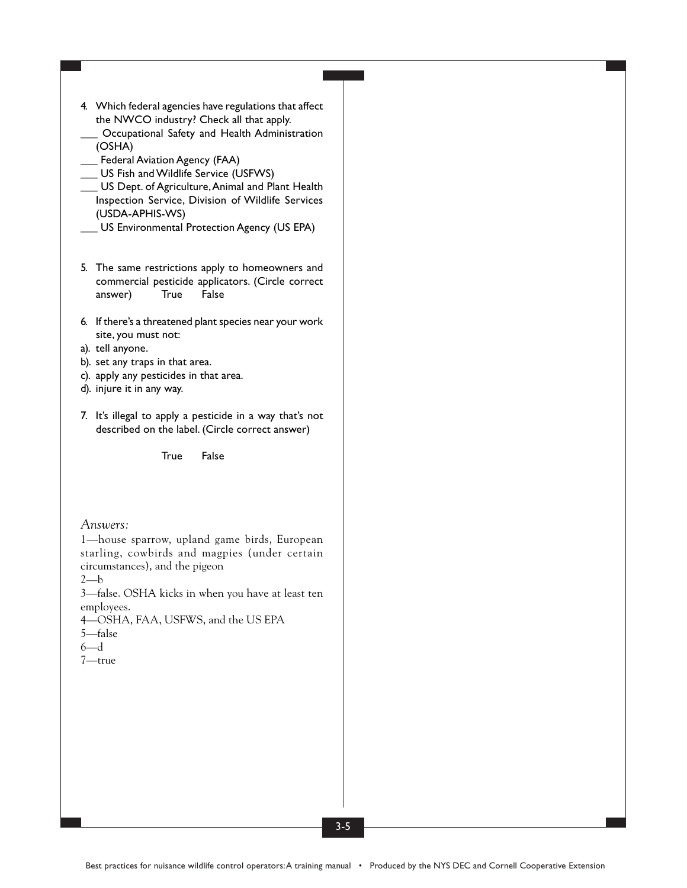- 4. Which federal agencies have regulations that affect the NWCO industry? Check all that apply.
- Occupational Safety and Health Administration (OSHA)
- \_\_\_ Federal Aviation Agency (FAA)
- \_\_\_ US Fish and Wildlife Service (USFWS)
- \_\_\_ US Dept. of Agriculture, Animal and Plant Health Inspection Service, Division of Wildlife Services (USDA-APHIS-WS)
	- \_\_\_ US Environmental Protection Agency (US EPA)
- 5. The same restrictions apply to homeowners and commercial pesticide applicators. (Circle correct answer) True False
- 6. If there's a threatened plant species near your work site, you must not:
- a). tell anyone.
- b). set any traps in that area.
- c). apply any pesticides in that area.
- d). injure it in any way.
- 7. It's illegal to apply a pesticide in a way that's not described on the label. (Circle correct answer)

True False

### *Answers:*

1—house sparrow, upland game birds, European starling, cowbirds and magpies (under certain circumstances), and the pigeon

 $2-b$ 

3—false. OSHA kicks in when you have at least ten employees.

- 4—OSHA, FAA, USFWS, and the US EPA
- 5—false
- 6—d
- 7—true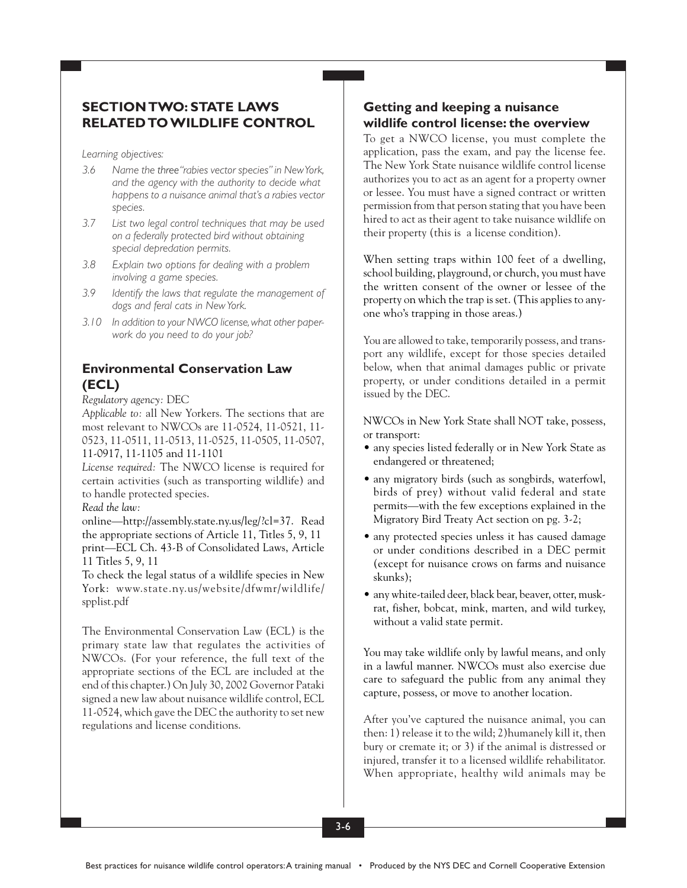## **SECTION TWO: STATE LAWS RELATED TO WILDLIFE CONTROL**

*Learning objectives:*

- *3.6 Name the three"rabies vector species" in New York, and the agency with the authority to decide what happens to a nuisance animal that's a rabies vector species.*
- *3.7 List two legal control techniques that may be used on a federally protected bird without obtaining special depredation permits.*
- *3.8 Explain two options for dealing with a problem involving a game species.*
- *3.9 Identify the laws that regulate the management of dogs and feral cats in New York.*
- *3.10 In addition to your NWCO license, what other paperwork do you need to do your job?*

## **Environmental Conservation Law (ECL)**

*Regulatory agency:* DEC

*Applicable to:* all New Yorkers. The sections that are most relevant to NWCOs are 11-0524, 11-0521, 11- 0523, 11-0511, 11-0513, 11-0525, 11-0505, 11-0507, 11-0917, 11-1105 and 11-1101

*License required:* The NWCO license is required for certain activities (such as transporting wildlife) and to handle protected species.

### *Read the law:*

online—http://assembly.state.ny.us/leg/?cl=37. Read the appropriate sections of Article 11, Titles 5, 9, 11 print—ECL Ch. 43-B of Consolidated Laws, Article 11 Titles 5, 9, 11

To check the legal status of a wildlife species in New York: www.state.ny.us/website/dfwmr/wildlife/ spplist.pdf

The Environmental Conservation Law (ECL) is the primary state law that regulates the activities of NWCOs. (For your reference, the full text of the appropriate sections of the ECL are included at the end of this chapter.) On July 30, 2002 Governor Pataki signed a new law about nuisance wildlife control, ECL 11-0524, which gave the DEC the authority to set new regulations and license conditions.

## **Getting and keeping a nuisance wildlife control license: the overview**

To get a NWCO license, you must complete the application, pass the exam, and pay the license fee. The New York State nuisance wildlife control license authorizes you to act as an agent for a property owner or lessee. You must have a signed contract or written permission from that person stating that you have been hired to act as their agent to take nuisance wildlife on their property (this is a license condition).

When setting traps within 100 feet of a dwelling, school building, playground, or church, you must have the written consent of the owner or lessee of the property on which the trap is set. (This applies to anyone who's trapping in those areas.)

You are allowed to take, temporarily possess, and transport any wildlife, except for those species detailed below, when that animal damages public or private property, or under conditions detailed in a permit issued by the DEC.

NWCOs in New York State shall NOT take, possess, or transport:

- any species listed federally or in New York State as endangered or threatened;
- any migratory birds (such as songbirds, waterfowl, birds of prey) without valid federal and state permits—with the few exceptions explained in the Migratory Bird Treaty Act section on pg. 3-2;
- any protected species unless it has caused damage or under conditions described in a DEC permit (except for nuisance crows on farms and nuisance skunks);
- any white-tailed deer, black bear, beaver, otter, muskrat, fisher, bobcat, mink, marten, and wild turkey, without a valid state permit.

You may take wildlife only by lawful means, and only in a lawful manner. NWCOs must also exercise due care to safeguard the public from any animal they capture, possess, or move to another location.

After you've captured the nuisance animal, you can then: 1) release it to the wild; 2)humanely kill it, then bury or cremate it; or 3) if the animal is distressed or injured, transfer it to a licensed wildlife rehabilitator. When appropriate, healthy wild animals may be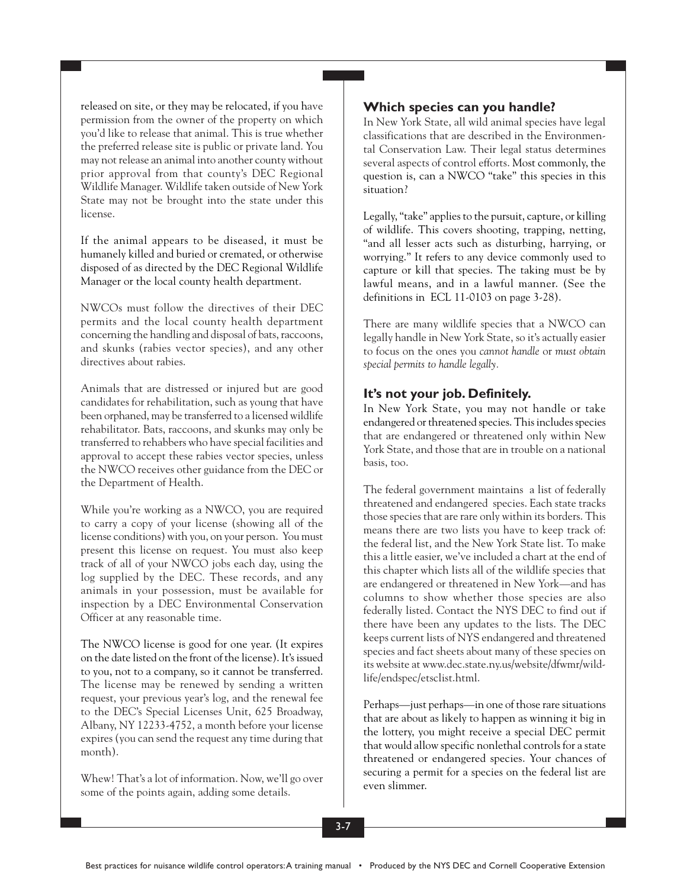released on site, or they may be relocated, if you have permission from the owner of the property on which you'd like to release that animal. This is true whether the preferred release site is public or private land. You may not release an animal into another county without prior approval from that county's DEC Regional Wildlife Manager. Wildlife taken outside of New York State may not be brought into the state under this license.

If the animal appears to be diseased, it must be humanely killed and buried or cremated, or otherwise disposed of as directed by the DEC Regional Wildlife Manager or the local county health department.

NWCOs must follow the directives of their DEC permits and the local county health department concerning the handling and disposal of bats, raccoons, and skunks (rabies vector species), and any other directives about rabies.

Animals that are distressed or injured but are good candidates for rehabilitation, such as young that have been orphaned, may be transferred to a licensed wildlife rehabilitator. Bats, raccoons, and skunks may only be transferred to rehabbers who have special facilities and approval to accept these rabies vector species, unless the NWCO receives other guidance from the DEC or the Department of Health.

While you're working as a NWCO, you are required to carry a copy of your license (showing all of the license conditions) with you, on your person. You must present this license on request. You must also keep track of all of your NWCO jobs each day, using the log supplied by the DEC. These records, and any animals in your possession, must be available for inspection by a DEC Environmental Conservation Officer at any reasonable time.

The NWCO license is good for one year. (It expires on the date listed on the front of the license). It's issued to you, not to a company, so it cannot be transferred. The license may be renewed by sending a written request, your previous year's log, and the renewal fee to the DEC's Special Licenses Unit, 625 Broadway, Albany, NY 12233-4752, a month before your license expires (you can send the request any time during that month).

Whew! That's a lot of information. Now, we'll go over some of the points again, adding some details.

### **Which species can you handle?**

In New York State, all wild animal species have legal classifications that are described in the Environmental Conservation Law. Their legal status determines several aspects of control efforts. Most commonly, the question is, can a NWCO "take" this species in this situation?

Legally, "take" applies to the pursuit, capture, or killing of wildlife. This covers shooting, trapping, netting, "and all lesser acts such as disturbing, harrying, or worrying." It refers to any device commonly used to capture or kill that species. The taking must be by lawful means, and in a lawful manner. (See the definitions in ECL 11-0103 on page 3-28).

There are many wildlife species that a NWCO can legally handle in New York State, so it's actually easier to focus on the ones you *cannot handle* or *must obtain special permits to handle legally.*

### **It's not your job. Definitely.**

In New York State, you may not handle or take endangered or threatened species. This includes species that are endangered or threatened only within New York State, and those that are in trouble on a national basis, too.

The federal government maintains a list of federally threatened and endangered species. Each state tracks those species that are rare only within its borders. This means there are two lists you have to keep track of: the federal list, and the New York State list. To make this a little easier, we've included a chart at the end of this chapter which lists all of the wildlife species that are endangered or threatened in New York—and has columns to show whether those species are also federally listed. Contact the NYS DEC to find out if there have been any updates to the lists. The DEC keeps current lists of NYS endangered and threatened species and fact sheets about many of these species on its website at www.dec.state.ny.us/website/dfwmr/wildlife/endspec/etsclist.html.

Perhaps—just perhaps—in one of those rare situations that are about as likely to happen as winning it big in the lottery, you might receive a special DEC permit that would allow specific nonlethal controls for a state threatened or endangered species. Your chances of securing a permit for a species on the federal list are even slimmer.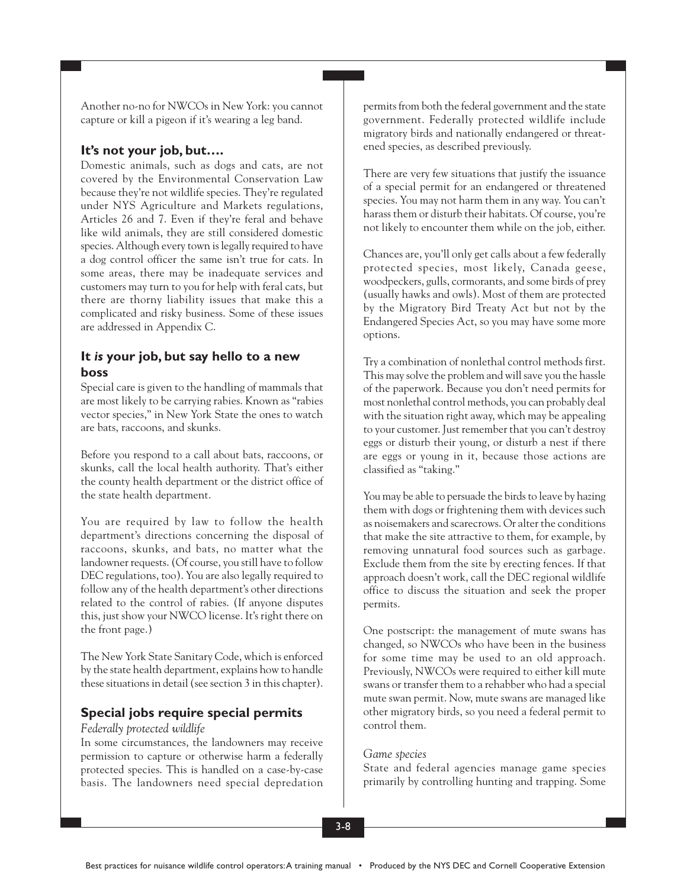Another no-no for NWCOs in New York: you cannot capture or kill a pigeon if it's wearing a leg band.

### **It's not your job, but….**

Domestic animals, such as dogs and cats, are not covered by the Environmental Conservation Law because they're not wildlife species. They're regulated under NYS Agriculture and Markets regulations, Articles 26 and 7. Even if they're feral and behave like wild animals, they are still considered domestic species. Although every town is legally required to have a dog control officer the same isn't true for cats. In some areas, there may be inadequate services and customers may turn to you for help with feral cats, but there are thorny liability issues that make this a complicated and risky business. Some of these issues are addressed in Appendix C.

### **It** *is* **your job, but say hello to a new boss**

Special care is given to the handling of mammals that are most likely to be carrying rabies. Known as "rabies vector species," in New York State the ones to watch are bats, raccoons, and skunks.

Before you respond to a call about bats, raccoons, or skunks, call the local health authority. That's either the county health department or the district office of the state health department.

You are required by law to follow the health department's directions concerning the disposal of raccoons, skunks, and bats, no matter what the landowner requests. (Of course, you still have to follow DEC regulations, too). You are also legally required to follow any of the health department's other directions related to the control of rabies. (If anyone disputes this, just show your NWCO license. It's right there on the front page.)

The New York State Sanitary Code, which is enforced by the state health department, explains how to handle these situations in detail (see section 3 in this chapter).

### **Special jobs require special permits**

#### *Federally protected wildlife*

In some circumstances, the landowners may receive permission to capture or otherwise harm a federally protected species. This is handled on a case-by-case basis. The landowners need special depredation permits from both the federal government and the state government. Federally protected wildlife include migratory birds and nationally endangered or threatened species, as described previously.

There are very few situations that justify the issuance of a special permit for an endangered or threatened species. You may not harm them in any way. You can't harass them or disturb their habitats. Of course, you're not likely to encounter them while on the job, either.

Chances are, you'll only get calls about a few federally protected species, most likely, Canada geese, woodpeckers, gulls, cormorants, and some birds of prey (usually hawks and owls). Most of them are protected by the Migratory Bird Treaty Act but not by the Endangered Species Act, so you may have some more options.

Try a combination of nonlethal control methods first. This may solve the problem and will save you the hassle of the paperwork. Because you don't need permits for most nonlethal control methods, you can probably deal with the situation right away, which may be appealing to your customer. Just remember that you can't destroy eggs or disturb their young, or disturb a nest if there are eggs or young in it, because those actions are classified as "taking."

You may be able to persuade the birds to leave by hazing them with dogs or frightening them with devices such as noisemakers and scarecrows. Or alter the conditions that make the site attractive to them, for example, by removing unnatural food sources such as garbage. Exclude them from the site by erecting fences. If that approach doesn't work, call the DEC regional wildlife office to discuss the situation and seek the proper permits.

One postscript: the management of mute swans has changed, so NWCOs who have been in the business for some time may be used to an old approach. Previously, NWCOs were required to either kill mute swans or transfer them to a rehabber who had a special mute swan permit. Now, mute swans are managed like other migratory birds, so you need a federal permit to control them.

### *Game species*

State and federal agencies manage game species primarily by controlling hunting and trapping. Some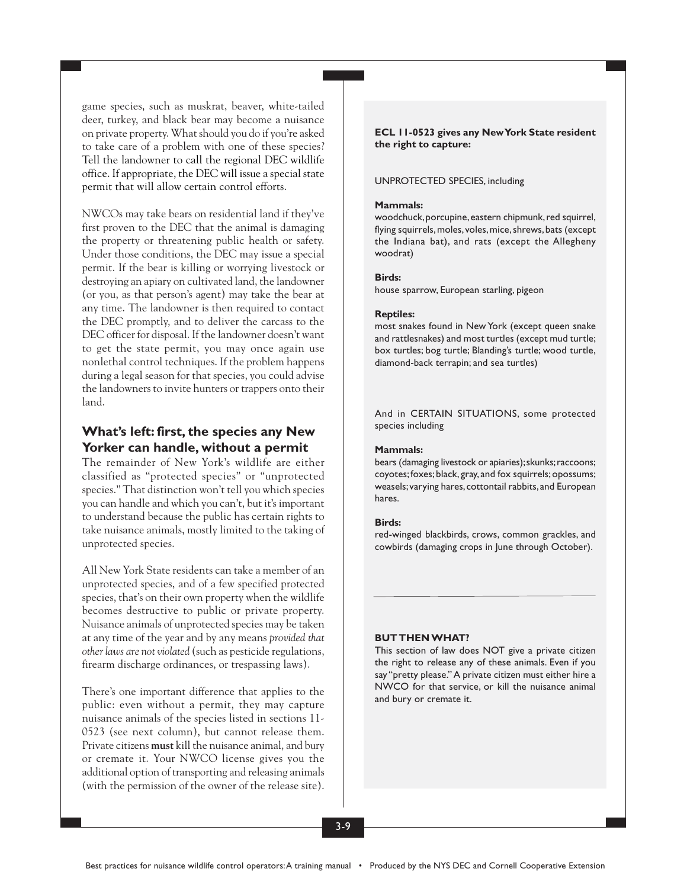game species, such as muskrat, beaver, white-tailed deer, turkey, and black bear may become a nuisance on private property. What should you do if you're asked to take care of a problem with one of these species? Tell the landowner to call the regional DEC wildlife office. If appropriate, the DEC will issue a special state permit that will allow certain control efforts.

NWCOs may take bears on residential land if they've first proven to the DEC that the animal is damaging the property or threatening public health or safety. Under those conditions, the DEC may issue a special permit. If the bear is killing or worrying livestock or destroying an apiary on cultivated land, the landowner (or you, as that person's agent) may take the bear at any time. The landowner is then required to contact the DEC promptly, and to deliver the carcass to the DEC officer for disposal. If the landowner doesn't want to get the state permit, you may once again use nonlethal control techniques. If the problem happens during a legal season for that species, you could advise the landowners to invite hunters or trappers onto their land.

## **What's left: first, the species any New Yorker can handle, without a permit**

The remainder of New York's wildlife are either classified as "protected species" or "unprotected species." That distinction won't tell you which species you can handle and which you can't, but it's important to understand because the public has certain rights to take nuisance animals, mostly limited to the taking of unprotected species.

All New York State residents can take a member of an unprotected species, and of a few specified protected species, that's on their own property when the wildlife becomes destructive to public or private property. Nuisance animals of unprotected species may be taken at any time of the year and by any means *provided that other laws are not violated* (such as pesticide regulations, firearm discharge ordinances, or trespassing laws).

There's one important difference that applies to the public: even without a permit, they may capture nuisance animals of the species listed in sections 11- 0523 (see next column), but cannot release them. Private citizens **must** kill the nuisance animal, and bury or cremate it. Your NWCO license gives you the additional option of transporting and releasing animals (with the permission of the owner of the release site).

**ECL 11-0523 gives any New York State resident the right to capture:**

#### UNPROTECTED SPECIES, including

#### **Mammals:**

woodchuck, porcupine, eastern chipmunk, red squirrel, flying squirrels, moles, voles, mice, shrews, bats (except the Indiana bat), and rats (except the Allegheny woodrat)

#### **Birds:**

house sparrow, European starling, pigeon

#### **Reptiles:**

most snakes found in New York (except queen snake and rattlesnakes) and most turtles (except mud turtle; box turtles; bog turtle; Blanding's turtle; wood turtle, diamond-back terrapin; and sea turtles)

And in CERTAIN SITUATIONS, some protected species including

#### **Mammals:**

bears (damaging livestock or apiaries); skunks; raccoons; coyotes; foxes; black, gray, and fox squirrels; opossums; weasels; varying hares, cottontail rabbits, and European hares.

#### **Birds:**

red-winged blackbirds, crows, common grackles, and cowbirds (damaging crops in June through October).

#### **BUT THEN WHAT?**

This section of law does NOT give a private citizen the right to release any of these animals. Even if you say "pretty please." A private citizen must either hire a NWCO for that service, or kill the nuisance animal and bury or cremate it.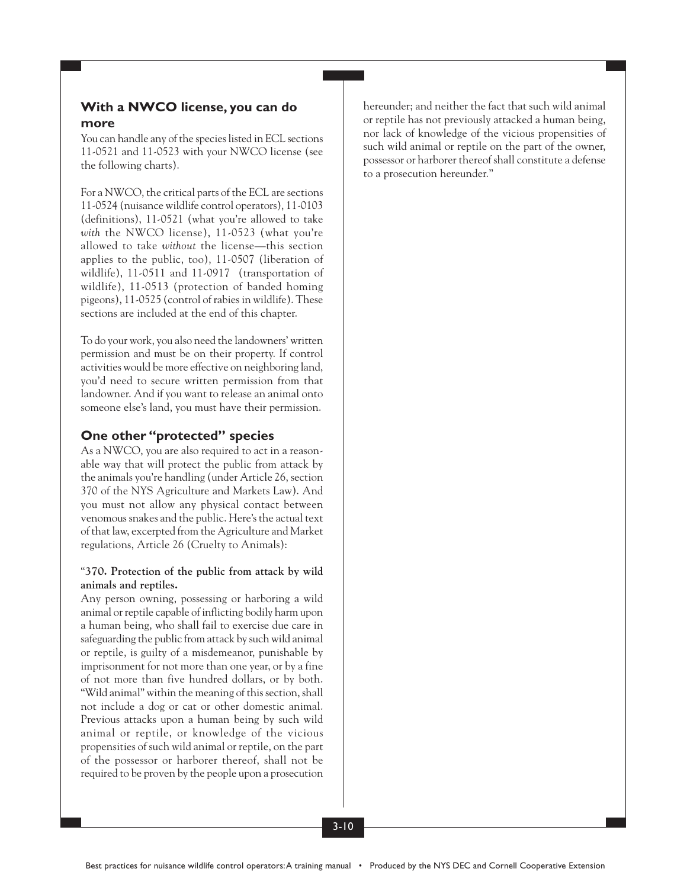### **With a NWCO license, you can do more**

You can handle any of the species listed in ECL sections 11-0521 and 11-0523 with your NWCO license (see the following charts).

For a NWCO, the critical parts of the ECL are sections 11-0524 (nuisance wildlife control operators), 11-0103 (definitions), 11-0521 (what you're allowed to take *with* the NWCO license), 11-0523 (what you're allowed to take *without* the license—this section applies to the public, too), 11-0507 (liberation of wildlife), 11-0511 and 11-0917 (transportation of wildlife), 11-0513 (protection of banded homing pigeons), 11-0525 (control of rabies in wildlife). These sections are included at the end of this chapter.

To do your work, you also need the landowners' written permission and must be on their property. If control activities would be more effective on neighboring land, you'd need to secure written permission from that landowner. And if you want to release an animal onto someone else's land, you must have their permission.

### **One other "protected" species**

As a NWCO, you are also required to act in a reasonable way that will protect the public from attack by the animals you're handling (under Article 26, section 370 of the NYS Agriculture and Markets Law). And you must not allow any physical contact between venomous snakes and the public. Here's the actual text of that law, excerpted from the Agriculture and Market regulations, Article 26 (Cruelty to Animals):

### "**370. Protection of the public from attack by wild animals and reptiles.**

Any person owning, possessing or harboring a wild animal or reptile capable of inflicting bodily harm upon a human being, who shall fail to exercise due care in safeguarding the public from attack by such wild animal or reptile, is guilty of a misdemeanor, punishable by imprisonment for not more than one year, or by a fine of not more than five hundred dollars, or by both. "Wild animal" within the meaning of this section, shall not include a dog or cat or other domestic animal. Previous attacks upon a human being by such wild animal or reptile, or knowledge of the vicious propensities of such wild animal or reptile, on the part of the possessor or harborer thereof, shall not be required to be proven by the people upon a prosecution hereunder; and neither the fact that such wild animal or reptile has not previously attacked a human being, nor lack of knowledge of the vicious propensities of such wild animal or reptile on the part of the owner, possessor or harborer thereof shall constitute a defense to a prosecution hereunder."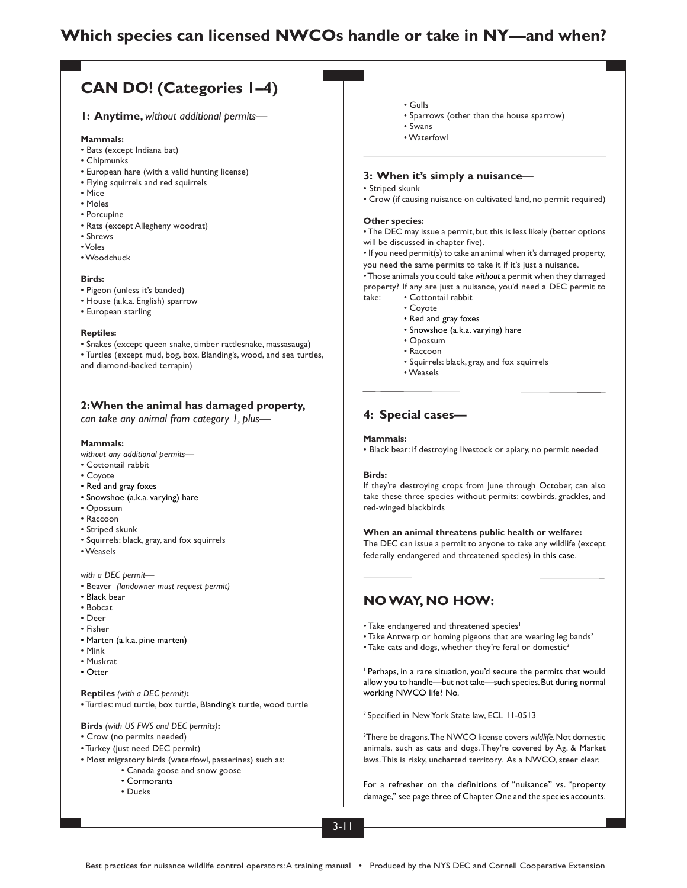# **Which species can licensed NWCOs handle or take in NY—and when?**

# **CAN DO! (Categories 1–4)**

**1: Anytime,** *without additional permits—*

#### **Mammals:**

- Bats (except Indiana bat)
- Chipmunks
- European hare (with a valid hunting license)
- Flying squirrels and red squirrels
- Mice
- Moles
- Porcupine
- Rats (except Allegheny woodrat)
- Shrews
- Voles
- Woodchuck

#### **Birds:**

- Pigeon (unless it's banded)
- House (a.k.a. English) sparrow
- European starling

#### **Reptiles:**

• Snakes (except queen snake, timber rattlesnake, massasauga) • Turtles (except mud, bog, box, Blanding's, wood, and sea turtles, and diamond-backed terrapin)

#### **2: When the animal has damaged property,**

*can take any animal from category 1, plus—*

#### **Mammals:**

- *without any additional permits—*
- Cottontail rabbit
- Coyote
- Red and gray foxes
- Snowshoe (a.k.a. varying) hare
- Opossum
- Raccoon
- Striped skunk
- Squirrels: black, gray, and fox squirrels
- Weasels

*with a DEC permit—*

- Beaver *(landowner must request permit)*
- Black bear
- Bobcat
- Deer
- Fisher
- Marten (a.k.a. pine marten)
- Mink
- Muskrat
- Otter

#### **Reptiles** *(with a DEC permit)***:**

• Turtles: mud turtle, box turtle, Blanding's turtle, wood turtle

#### **Birds** *(with US FWS and DEC permits)***:**

- Crow (no permits needed)
- Turkey (just need DEC permit)
- Most migratory birds (waterfowl, passerines) such as:
	- Canada goose and snow goose
		- Cormorants
		- Ducks
- Gulls
- Sparrows (other than the house sparrow)
- Swans
- Waterfowl

#### **3: When it's simply a nuisance***—*

#### • Striped skunk

• Crow (if causing nuisance on cultivated land, no permit required)

#### **Other species:**

• The DEC may issue a permit, but this is less likely (better options will be discussed in chapter five).

• If you need permit(s) to take an animal when it's damaged property, you need the same permits to take it if it's just a nuisance.

• Those animals you could take *without* a permit when they damaged property? If any are just a nuisance, you'd need a DEC permit to take: • Cottontail rabbit

- Coyote
- Red and gray foxes
- Snowshoe (a.k.a. varying) hare
- Opossum
- Raccoon
- Squirrels: black, gray, and fox squirrels
- Weasels

#### **4: Special cases—**

#### **Mammals:**

• Black bear: if destroying livestock or apiary, no permit needed

#### **Birds:**

If they're destroying crops from June through October, can also take these three species without permits: cowbirds, grackles, and red-winged blackbirds

**When an animal threatens public health or welfare:**

The DEC can issue a permit to anyone to take any wildlife (except federally endangered and threatened species) in this case.

### **NO WAY, NO HOW:**

- Take endangered and threatened species<sup>1</sup>
- Take Antwerp or homing pigeons that are wearing leg bands<sup>2</sup>
- Take cats and dogs, whether they're feral or domestic<sup>3</sup>

1 Perhaps, in a rare situation, you'd secure the permits that would allow you to handle—but not take—such species. But during normal working NWCO life? No.

2 Specified in New York State law, ECL 11-0513

3 There be dragons.The NWCO license covers *wildlife.* Not domestic animals, such as cats and dogs. They're covered by Ag. & Market laws. This is risky, uncharted territory. As a NWCO, steer clear.

For a refresher on the definitions of "nuisance" vs. "property damage," see page three of Chapter One and the species accounts.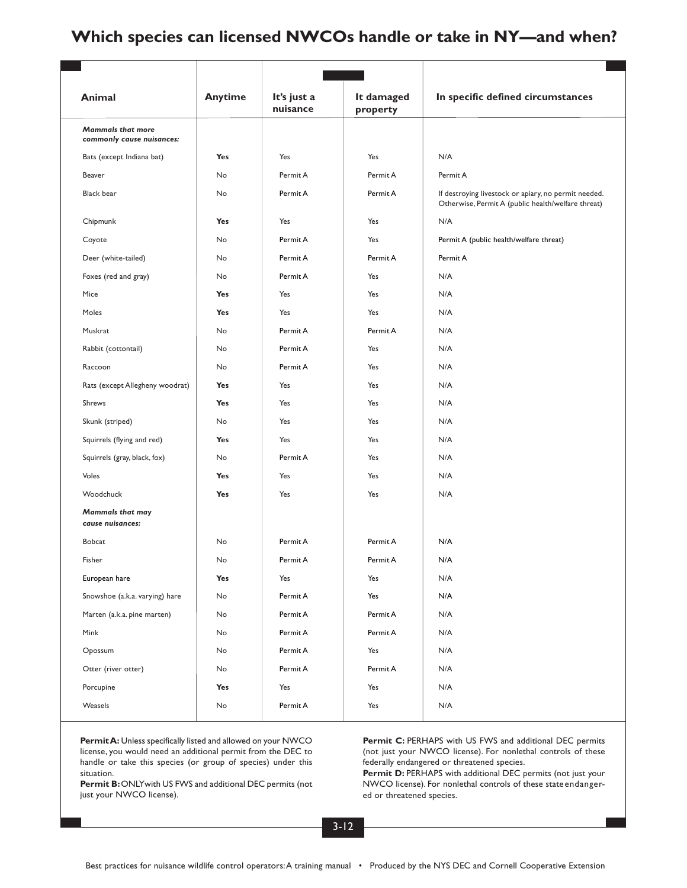# **Which species can licensed NWCOs handle or take in NY—and when?**

| Animal                                                | <b>Anytime</b> | It's just a<br>nuisance | It damaged<br>property | In specific defined circumstances                                                                          |
|-------------------------------------------------------|----------------|-------------------------|------------------------|------------------------------------------------------------------------------------------------------------|
| <b>Mammals that more</b><br>commonly cause nuisances: |                |                         |                        |                                                                                                            |
| Bats (except Indiana bat)                             | Yes            | Yes                     | Yes                    | N/A                                                                                                        |
| Beaver                                                | No             | Permit A                | Permit A               | Permit A                                                                                                   |
| <b>Black bear</b>                                     | No             | Permit A                | Permit A               | If destroying livestock or apiary, no permit needed.<br>Otherwise, Permit A (public health/welfare threat) |
| Chipmunk                                              | <b>Yes</b>     | Yes                     | Yes                    | N/A                                                                                                        |
| Coyote                                                | No             | Permit A                | Yes                    | Permit A (public health/welfare threat)                                                                    |
| Deer (white-tailed)                                   | No             | Permit A                | Permit A               | Permit A                                                                                                   |
| Foxes (red and gray)                                  | No             | Permit A                | Yes                    | N/A                                                                                                        |
| Mice                                                  | Yes            | Yes                     | Yes                    | N/A                                                                                                        |
| Moles                                                 | <b>Yes</b>     | Yes                     | Yes                    | N/A                                                                                                        |
| Muskrat                                               | No             | Permit A                | Permit A               | N/A                                                                                                        |
| Rabbit (cottontail)                                   | No             | Permit A                | Yes                    | N/A                                                                                                        |
| Raccoon                                               | No             | Permit A                | Yes                    | N/A                                                                                                        |
| Rats (except Allegheny woodrat)                       | Yes            | Yes                     | Yes                    | N/A                                                                                                        |
| Shrews                                                | <b>Yes</b>     | Yes                     | Yes                    | N/A                                                                                                        |
| Skunk (striped)                                       | No             | Yes                     | Yes                    | N/A                                                                                                        |
| Squirrels (flying and red)                            | Yes            | Yes                     | Yes                    | N/A                                                                                                        |
| Squirrels (gray, black, fox)                          | No             | Permit A                | Yes                    | N/A                                                                                                        |
| Voles                                                 | Yes            | Yes                     | Yes                    | N/A                                                                                                        |
| Woodchuck                                             | <b>Yes</b>     | Yes                     | Yes                    | N/A                                                                                                        |
| <b>Mammals that may</b><br>cause nuisances:           |                |                         |                        |                                                                                                            |
| <b>Bobcat</b>                                         | No             | Permit A                | Permit A               | N/A                                                                                                        |
| Fisher                                                | No             | Permit A                | Permit A               | N/A                                                                                                        |
| European hare                                         | <b>Yes</b>     | Yes                     | Yes                    | N/A                                                                                                        |
| Snowshoe (a.k.a. varying) hare                        | No             | Permit A                | Yes                    | N/A                                                                                                        |
| Marten (a.k.a. pine marten)                           | No             | Permit A                | Permit A               | N/A                                                                                                        |
| Mink                                                  | No             | Permit A                | Permit A               | N/A                                                                                                        |
| Opossum                                               | No             | Permit A                | Yes                    | N/A                                                                                                        |
| Otter (river otter)                                   | No             | Permit A                | Permit A               | N/A                                                                                                        |
| Porcupine                                             | <b>Yes</b>     | Yes                     | Yes                    | N/A                                                                                                        |
| Weasels                                               | No             | Permit A                | Yes                    | N/A                                                                                                        |

**Permit A:** Unless specifically listed and allowed on your NWCO license, you would need an additional permit from the DEC to handle or take this species (or group of species) under this situation.

Permit B: ONLYwith US FWS and additional DEC permits (not just your NWCO license).

Permit C: PERHAPS with US FWS and additional DEC permits (not just your NWCO license). For nonlethal controls of these federally endangered or threatened species.

Permit D: PERHAPS with additional DEC permits (not just your NWCO license). For nonlethal controls of these stateendangered or threatened species.

3-12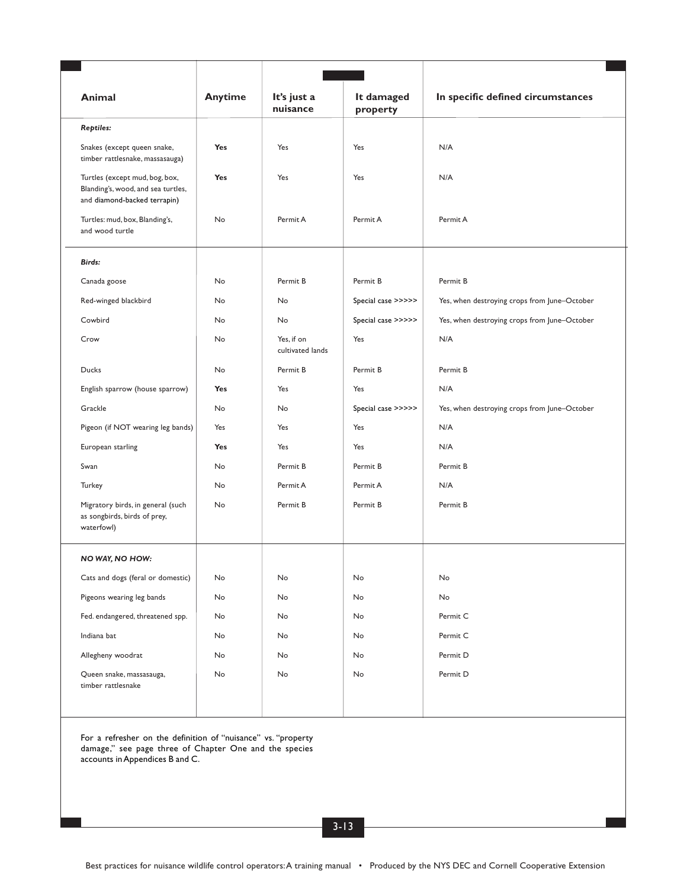| Animal                                                                                               | <b>Anytime</b> | It's just a<br>nuisance        | It damaged<br>property | In specific defined circumstances            |
|------------------------------------------------------------------------------------------------------|----------------|--------------------------------|------------------------|----------------------------------------------|
| <b>Reptiles:</b>                                                                                     |                |                                |                        |                                              |
| Snakes (except queen snake,<br>timber rattlesnake, massasauga)                                       | Yes            | Yes                            | Yes                    | N/A                                          |
| Turtles (except mud, bog, box,<br>Blanding's, wood, and sea turtles,<br>and diamond-backed terrapin) | Yes            | Yes                            | Yes                    | N/A                                          |
| Turtles: mud, box, Blanding's,<br>and wood turtle                                                    | No             | Permit A                       | Permit A               | Permit A                                     |
| Birds:                                                                                               |                |                                |                        |                                              |
| Canada goose                                                                                         | No             | Permit B                       | Permit B               | Permit B                                     |
| Red-winged blackbird                                                                                 | No             | No                             | Special case >>>>>     | Yes, when destroying crops from June-October |
| Cowbird                                                                                              | No             | No                             | Special case >>>>>     | Yes, when destroying crops from June-October |
| Crow                                                                                                 | No             | Yes, if on<br>cultivated lands | Yes                    | N/A                                          |
| Ducks                                                                                                | No             | Permit B                       | Permit B               | Permit B                                     |
| English sparrow (house sparrow)                                                                      | Yes            | Yes                            | Yes                    | N/A                                          |
| Grackle                                                                                              | No             | No                             | Special case >>>>>     | Yes, when destroying crops from June-October |
| Pigeon (if NOT wearing leg bands)                                                                    | Yes            | Yes                            | Yes                    | N/A                                          |
| European starling                                                                                    | Yes            | Yes                            | Yes                    | N/A                                          |
| Swan                                                                                                 | No             | Permit B                       | Permit B               | Permit B                                     |
| Turkey                                                                                               | No             | Permit A                       | Permit A               | N/A                                          |
| Migratory birds, in general (such<br>as songbirds, birds of prey,<br>waterfowl)                      | No             | Permit B                       | Permit B               | Permit B                                     |
| NO WAY, NO HOW:                                                                                      |                |                                |                        |                                              |
| Cats and dogs (feral or domestic)                                                                    | No             | No                             | No                     | No                                           |
| Pigeons wearing leg bands                                                                            | No             | No                             | No                     | No                                           |
| Fed. endangered, threatened spp.                                                                     | No             | No                             | No                     | Permit C                                     |
| Indiana bat                                                                                          | No             | No                             | No                     | Permit C                                     |
| Allegheny woodrat                                                                                    | No             | No                             | No                     | Permit D                                     |
| Queen snake, massasauga,<br>timber rattlesnake                                                       | No             | No                             | No                     | Permit D                                     |
|                                                                                                      |                |                                |                        |                                              |

For a refresher on the definition of "nuisance" vs. "property damage," see page three of Chapter One and the species accounts in Appendices B and C.

3-13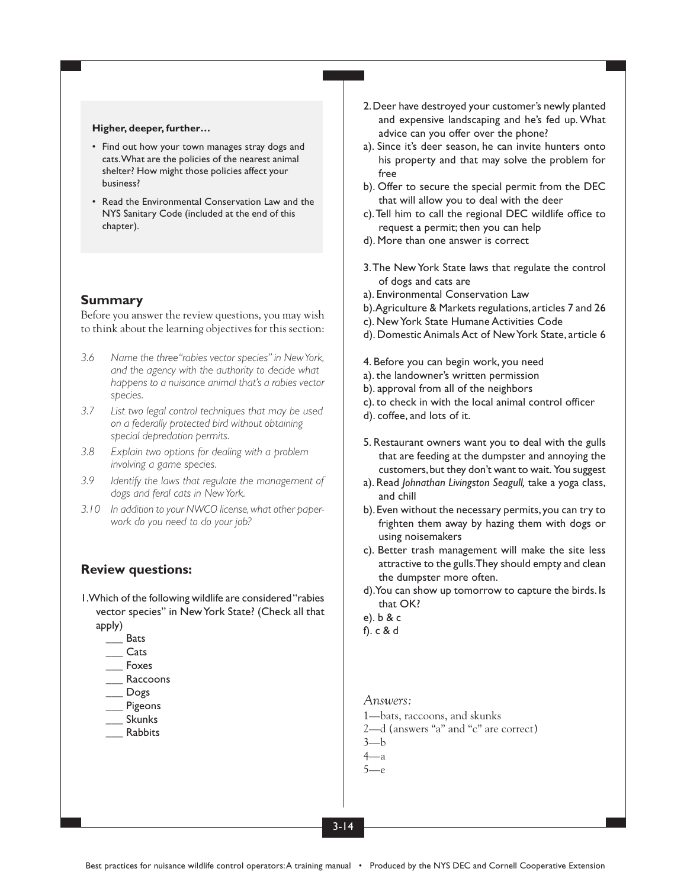#### **Higher, deeper, further…**

- Find out how your town manages stray dogs and cats. What are the policies of the nearest animal shelter? How might those policies affect your business?
- Read the Environmental Conservation Law and the NYS Sanitary Code (included at the end of this chapter).

### **Summary**

Before you answer the review questions, you may wish to think about the learning objectives for this section:

- *3.6 Name the three"rabies vector species" in New York, and the agency with the authority to decide what happens to a nuisance animal that's a rabies vector species.*
- *3.7 List two legal control techniques that may be used on a federally protected bird without obtaining special depredation permits.*
- *3.8 Explain two options for dealing with a problem involving a game species.*
- *3.9 Identify the laws that regulate the management of dogs and feral cats in New York.*
- *3.10 In addition to your NWCO license, what other paperwork do you need to do your job?*

### **Review questions:**

- 1. Which of the following wildlife are considered "rabies vector species" in New York State? (Check all that apply)
	- \_\_\_ Bats
	- \_\_\_ Cats
	- \_\_\_ Foxes
	- **Raccoons**
	- \_\_\_ Dogs
	- **Pigeons**
	- \_\_\_ Skunks
	- \_\_\_ Rabbits
- 2. Deer have destroyed your customer's newly planted and expensive landscaping and he's fed up. What advice can you offer over the phone?
- a). Since it's deer season, he can invite hunters onto his property and that may solve the problem for free
- b). Offer to secure the special permit from the DEC that will allow you to deal with the deer
- c). Tell him to call the regional DEC wildlife office to request a permit; then you can help
- d). More than one answer is correct
- 3. The New York State laws that regulate the control of dogs and cats are
- a). Environmental Conservation Law
- b). Agriculture & Markets regulations, articles 7 and 26
- c). New York State Humane Activities Code
- d). Domestic Animals Act of New York State, article 6
- 4. Before you can begin work, you need
- a). the landowner's written permission
- b). approval from all of the neighbors
- c). to check in with the local animal control officer
- d). coffee, and lots of it.
- 5. Restaurant owners want you to deal with the gulls that are feeding at the dumpster and annoying the customers, but they don't want to wait. You suggest
- a). Read *Johnathan Livingston Seagull,* take a yoga class, and chill
- b). Even without the necessary permits, you can try to frighten them away by hazing them with dogs or using noisemakers
- c). Better trash management will make the site less attractive to the gulls. They should empty and clean the dumpster more often.
- d). You can show up tomorrow to capture the birds. Is that OK?
- e). b & c
- f). c & d

### *Answers:*

- 1—bats, raccoons, and skunks
- 2—d (answers "a" and "c" are correct)
- $3-h$
- 4—a  $5$ — $e$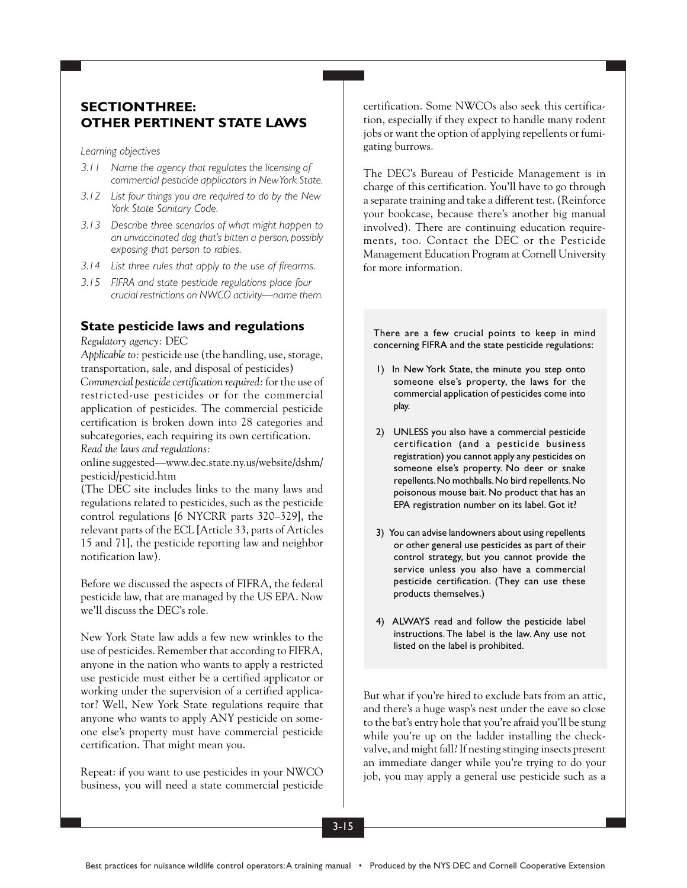## **SECTION THREE: OTHER PERTINENT STATE LAWS**

*Learning objectives*

- *3.11 Name the agency that regulates the licensing of commercial pesticide applicators in New York State.*
- *3.12 List four things you are required to do by the New York State Sanitary Code.*
- *3.13 Describe three scenarios of what might happen to an unvaccinated dog that's bitten a person, possibly exposing that person to rabies.*
- *3.14 List three rules that apply to the use of firearms.*
- *3.15 FIFRA and state pesticide regulations place four crucial restrictions on NWCO activity—name them.*

### **State pesticide laws and regulations**

*Regulatory agency:* DEC

*Applicable to:* pesticide use (the handling, use, storage, transportation, sale, and disposal of pesticides)

*Commercial pesticide certification required:* for the use of restricted-use pesticides or for the commercial application of pesticides. The commercial pesticide certification is broken down into 28 categories and subcategories, each requiring its own certification. *Read the laws and regulations:*

online suggested—www.dec.state.ny.us/website/dshm/ pesticid/pesticid.htm

(The DEC site includes links to the many laws and regulations related to pesticides, such as the pesticide control regulations [6 NYCRR parts 320–329], the relevant parts of the ECL [Article 33, parts of Articles 15 and 71], the pesticide reporting law and neighbor notification law).

Before we discussed the aspects of FIFRA, the federal pesticide law, that are managed by the US EPA. Now we'll discuss the DEC's role.

New York State law adds a few new wrinkles to the use of pesticides. Remember that according to FIFRA, anyone in the nation who wants to apply a restricted use pesticide must either be a certified applicator or working under the supervision of a certified applicator? Well, New York State regulations require that anyone who wants to apply ANY pesticide on someone else's property must have commercial pesticide certification. That might mean you.

Repeat: if you want to use pesticides in your NWCO business, you will need a state commercial pesticide certification. Some NWCOs also seek this certification, especially if they expect to handle many rodent jobs or want the option of applying repellents or fumigating burrows.

The DEC's Bureau of Pesticide Management is in charge of this certification. You'll have to go through a separate training and take a different test. (Reinforce your bookcase, because there's another big manual involved). There are continuing education requirements, too. Contact the DEC or the Pesticide Management Education Program at Cornell University for more information.

There are a few crucial points to keep in mind concerning FIFRA and the state pesticide regulations:

- 1) In New York State, the minute you step onto someone else's property, the laws for the commercial application of pesticides come into play.
- 2) UNLESS you also have a commercial pesticide certification (and a pesticide business registration) you cannot apply any pesticides on someone else's property. No deer or snake repellents. No mothballs. No bird repellents. No poisonous mouse bait. No product that has an EPA registration number on its label. Got it?
- 3) You can advise landowners about using repellents or other general use pesticides as part of their control strategy, but you cannot provide the service unless you also have a commercial pesticide certification. (They can use these products themselves.)
- 4) ALWAYS read and follow the pesticide label instructions. The label is the law. Any use not listed on the label is prohibited.

But what if you're hired to exclude bats from an attic, and there's a huge wasp's nest under the eave so close to the bat's entry hole that you're afraid you'll be stung while you're up on the ladder installing the checkvalve, and might fall? If nesting stinging insects present an immediate danger while you're trying to do your job, you may apply a general use pesticide such as a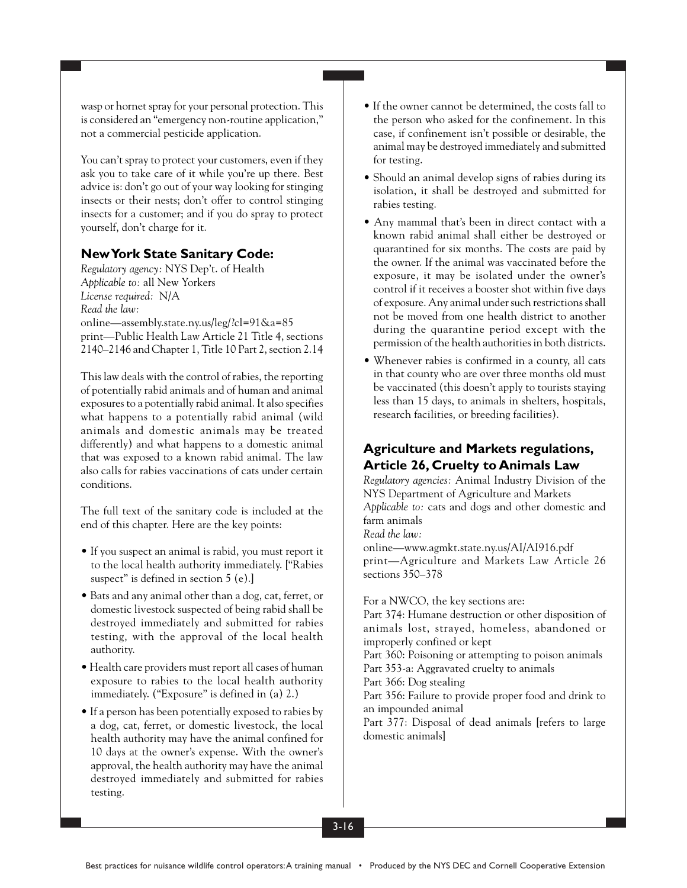wasp or hornet spray for your personal protection. This is considered an "emergency non-routine application," not a commercial pesticide application.

You can't spray to protect your customers, even if they ask you to take care of it while you're up there. Best advice is: don't go out of your way looking for stinging insects or their nests; don't offer to control stinging insects for a customer; and if you do spray to protect yourself, don't charge for it.

## **New York State Sanitary Code:**

*Regulatory agency:* NYS Dep't. of Health *Applicable to:* all New Yorkers *License required:* N/A *Read the law:* online—assembly.state.ny.us/leg/?cl=91&a=85 print—Public Health Law Article 21 Title 4, sections 2140–2146 and Chapter 1, Title 10 Part 2, section 2.14

This law deals with the control of rabies, the reporting of potentially rabid animals and of human and animal exposures to a potentially rabid animal. It also specifies what happens to a potentially rabid animal (wild animals and domestic animals may be treated differently) and what happens to a domestic animal that was exposed to a known rabid animal. The law also calls for rabies vaccinations of cats under certain conditions.

The full text of the sanitary code is included at the end of this chapter. Here are the key points:

- If you suspect an animal is rabid, you must report it to the local health authority immediately. ["Rabies suspect" is defined in section 5 (e).]
- Bats and any animal other than a dog, cat, ferret, or domestic livestock suspected of being rabid shall be destroyed immediately and submitted for rabies testing, with the approval of the local health authority.
- Health care providers must report all cases of human exposure to rabies to the local health authority immediately. ("Exposure" is defined in (a) 2.)
- If a person has been potentially exposed to rabies by a dog, cat, ferret, or domestic livestock, the local health authority may have the animal confined for 10 days at the owner's expense. With the owner's approval, the health authority may have the animal destroyed immediately and submitted for rabies testing.
- If the owner cannot be determined, the costs fall to the person who asked for the confinement. In this case, if confinement isn't possible or desirable, the animal may be destroyed immediately and submitted for testing.
- Should an animal develop signs of rabies during its isolation, it shall be destroyed and submitted for rabies testing.
- Any mammal that's been in direct contact with a known rabid animal shall either be destroyed or quarantined for six months. The costs are paid by the owner. If the animal was vaccinated before the exposure, it may be isolated under the owner's control if it receives a booster shot within five days of exposure. Any animal under such restrictions shall not be moved from one health district to another during the quarantine period except with the permission of the health authorities in both districts.
- Whenever rabies is confirmed in a county, all cats in that county who are over three months old must be vaccinated (this doesn't apply to tourists staying less than 15 days, to animals in shelters, hospitals, research facilities, or breeding facilities).

## **Agriculture and Markets regulations, Article 26, Cruelty to Animals Law**

*Regulatory agencies:* Animal Industry Division of the NYS Department of Agriculture and Markets *Applicable to:* cats and dogs and other domestic and farm animals

*Read the law:*

online—www.agmkt.state.ny.us/AI/AI916.pdf print—Agriculture and Markets Law Article 26 sections 350–378

For a NWCO, the key sections are:

Part 374: Humane destruction or other disposition of animals lost, strayed, homeless, abandoned or improperly confined or kept

Part 360: Poisoning or attempting to poison animals Part 353-a: Aggravated cruelty to animals

Part 366: Dog stealing

Part 356: Failure to provide proper food and drink to an impounded animal

Part 377: Disposal of dead animals [refers to large domestic animals]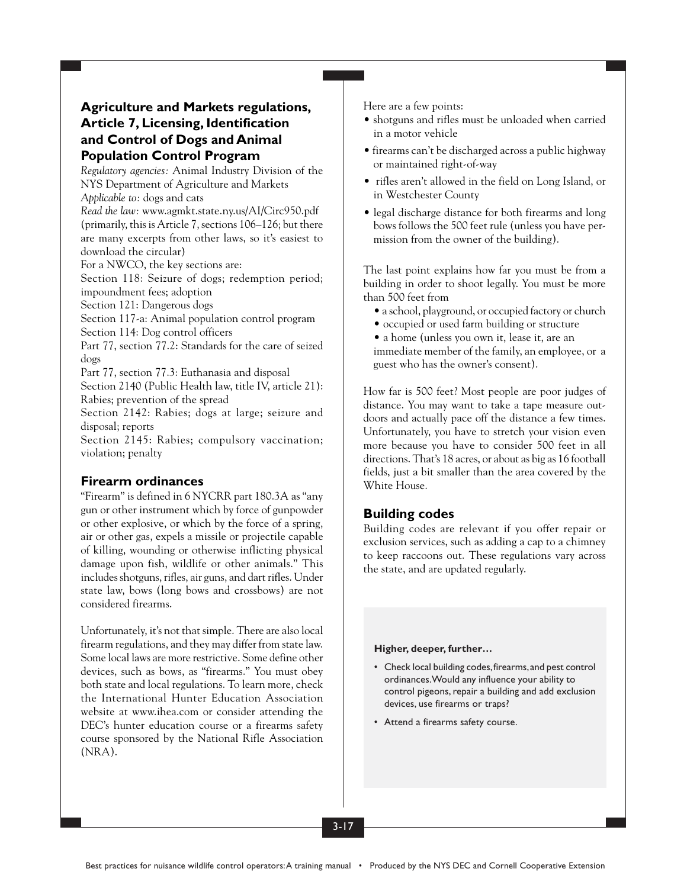## **Agriculture and Markets regulations, Article 7, Licensing, Identification and Control of Dogs and Animal Population Control Program**

*Regulatory agencies:* Animal Industry Division of the NYS Department of Agriculture and Markets *Applicable to:* dogs and cats

*Read the law:* www.agmkt.state.ny.us/AI/Circ950.pdf (primarily, this is Article 7, sections 106–126; but there are many excerpts from other laws, so it's easiest to download the circular)

For a NWCO, the key sections are:

Section 118: Seizure of dogs; redemption period; impoundment fees; adoption

Section 121: Dangerous dogs

Section 117-a: Animal population control program

Section 114: Dog control officers

Part 77, section 77.2: Standards for the care of seized dogs

Part 77, section 77.3: Euthanasia and disposal

Section 2140 (Public Health law, title IV, article 21): Rabies; prevention of the spread

Section 2142: Rabies; dogs at large; seizure and disposal; reports

Section 2145: Rabies; compulsory vaccination; violation; penalty

## **Firearm ordinances**

"Firearm" is defined in 6 NYCRR part 180.3A as "any gun or other instrument which by force of gunpowder or other explosive, or which by the force of a spring, air or other gas, expels a missile or projectile capable of killing, wounding or otherwise inflicting physical damage upon fish, wildlife or other animals." This includes shotguns, rifles, air guns, and dart rifles. Under state law, bows (long bows and crossbows) are not considered firearms.

Unfortunately, it's not that simple. There are also local firearm regulations, and they may differ from state law. Some local laws are more restrictive. Some define other devices, such as bows, as "firearms." You must obey both state and local regulations. To learn more, check the International Hunter Education Association website at www.ihea.com or consider attending the DEC's hunter education course or a firearms safety course sponsored by the National Rifle Association (NRA).

Here are a few points:

- shotguns and rifles must be unloaded when carried in a motor vehicle
- firearms can't be discharged across a public highway or maintained right-of-way
- rifles aren't allowed in the field on Long Island, or in Westchester County
- legal discharge distance for both firearms and long bows follows the 500 feet rule (unless you have permission from the owner of the building).

The last point explains how far you must be from a building in order to shoot legally. You must be more than 500 feet from

- a school, playground, or occupied factory or church
- occupied or used farm building or structure
- a home (unless you own it, lease it, are an

immediate member of the family, an employee, or a guest who has the owner's consent).

How far is 500 feet? Most people are poor judges of distance. You may want to take a tape measure outdoors and actually pace off the distance a few times. Unfortunately, you have to stretch your vision even more because you have to consider 500 feet in all directions. That's 18 acres, or about as big as 16 football fields, just a bit smaller than the area covered by the White House.

## **Building codes**

Building codes are relevant if you offer repair or exclusion services, such as adding a cap to a chimney to keep raccoons out. These regulations vary across the state, and are updated regularly.

### **Higher, deeper, further…**

- Check local building codes, firearms, and pest control ordinances. Would any influence your ability to control pigeons, repair a building and add exclusion devices, use firearms or traps?
- Attend a firearms safety course.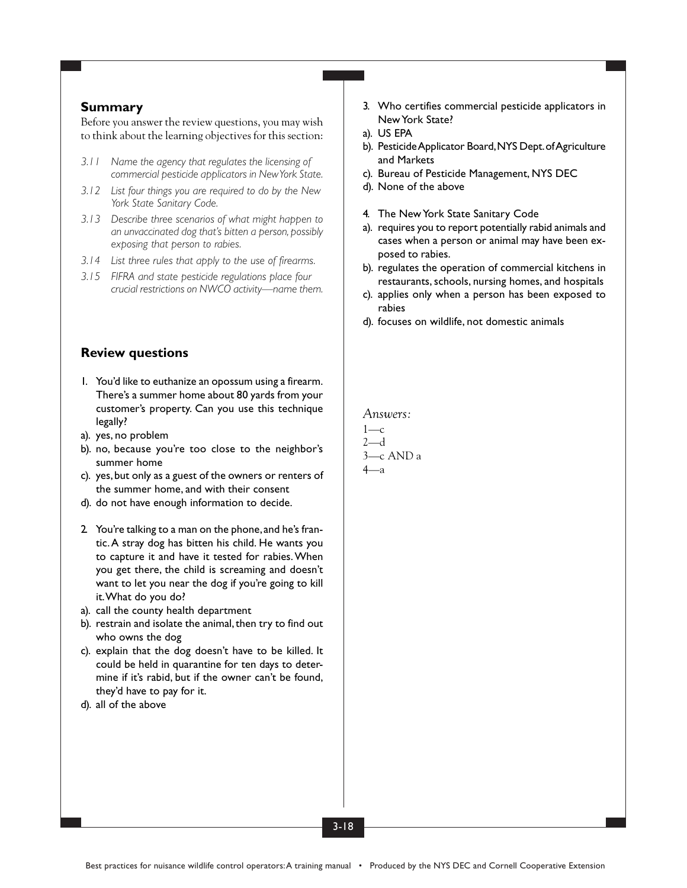### **Summary**

Before you answer the review questions, you may wish to think about the learning objectives for this section:

- *3.11 Name the agency that regulates the licensing of commercial pesticide applicators in New York State.*
- *3.12 List four things you are required to do by the New York State Sanitary Code.*
- *3.13 Describe three scenarios of what might happen to an unvaccinated dog that's bitten a person, possibly exposing that person to rabies.*
- *3.14 List three rules that apply to the use of firearms.*
- *3.15 FIFRA and state pesticide regulations place four crucial restrictions on NWCO activity—name them.*

### **Review questions**

- 1. You'd like to euthanize an opossum using a firearm. There's a summer home about 80 yards from your customer's property. Can you use this technique legally?
- a). yes, no problem
- b). no, because you're too close to the neighbor's summer home
- c). yes, but only as a guest of the owners or renters of the summer home, and with their consent
- d). do not have enough information to decide.
- 2. You're talking to a man on the phone, and he's frantic. A stray dog has bitten his child. He wants you to capture it and have it tested for rabies. When you get there, the child is screaming and doesn't want to let you near the dog if you're going to kill it. What do you do?
- a). call the county health department
- b). restrain and isolate the animal, then try to find out who owns the dog
- c). explain that the dog doesn't have to be killed. It could be held in quarantine for ten days to determine if it's rabid, but if the owner can't be found, they'd have to pay for it.
- d). all of the above
- 3. Who certifies commercial pesticide applicators in New York State?
- a). US EPA
- b). Pesticide Applicator Board, NYS Dept. of Agriculture and Markets
- c). Bureau of Pesticide Management, NYS DEC
- d). None of the above
- 4. The New York State Sanitary Code
- a). requires you to report potentially rabid animals and cases when a person or animal may have been exposed to rabies.
- b). regulates the operation of commercial kitchens in restaurants, schools, nursing homes, and hospitals
- c). applies only when a person has been exposed to rabies
- d). focuses on wildlife, not domestic animals

*Answers:*

$$
1\text{---}c
$$
\n
$$
2\text{---}d
$$
\n
$$
3\text{---}c
$$
 AND a\n
$$
4\text{---}a
$$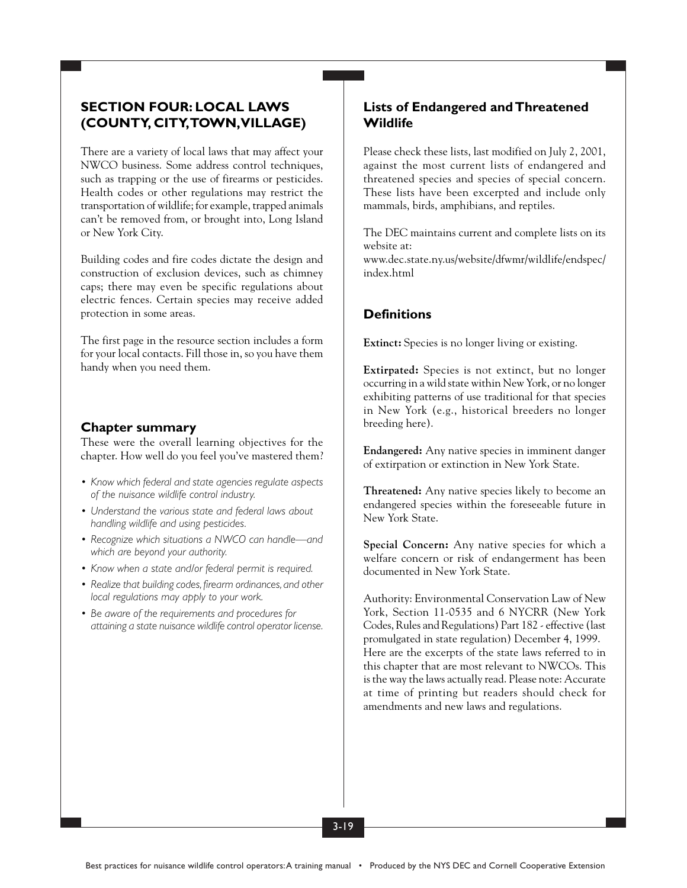## **SECTION FOUR: LOCAL LAWS (COUNTY, CITY, TOWN, VILLAGE)**

There are a variety of local laws that may affect your NWCO business. Some address control techniques, such as trapping or the use of firearms or pesticides. Health codes or other regulations may restrict the transportation of wildlife; for example, trapped animals can't be removed from, or brought into, Long Island or New York City.

Building codes and fire codes dictate the design and construction of exclusion devices, such as chimney caps; there may even be specific regulations about electric fences. Certain species may receive added protection in some areas.

The first page in the resource section includes a form for your local contacts. Fill those in, so you have them handy when you need them.

### **Chapter summary**

These were the overall learning objectives for the chapter. How well do you feel you've mastered them?

- *• Know which federal and state agencies regulate aspects of the nuisance wildlife control industry.*
- *• Understand the various state and federal laws about handling wildlife and using pesticides.*
- *• Recognize which situations a NWCO can handle—and which are beyond your authority.*
- *• Know when a state and/or federal permit is required.*
- *• Realize that building codes, firearm ordinances, and other local regulations may apply to your work.*
- *• Be aware of the requirements and procedures for attaining a state nuisance wildlife control operator license.*

### **Lists of Endangered and Threatened Wildlife**

Please check these lists, last modified on July 2, 2001, against the most current lists of endangered and threatened species and species of special concern. These lists have been excerpted and include only mammals, birds, amphibians, and reptiles.

The DEC maintains current and complete lists on its website at:

www.dec.state.ny.us/website/dfwmr/wildlife/endspec/ index.html

## **Definitions**

**Extinct:** Species is no longer living or existing.

**Extirpated:** Species is not extinct, but no longer occurring in a wild state within New York, or no longer exhibiting patterns of use traditional for that species in New York (e.g., historical breeders no longer breeding here).

**Endangered:** Any native species in imminent danger of extirpation or extinction in New York State.

**Threatened:** Any native species likely to become an endangered species within the foreseeable future in New York State.

**Special Concern:** Any native species for which a welfare concern or risk of endangerment has been documented in New York State.

Authority: Environmental Conservation Law of New York, Section 11-0535 and 6 NYCRR (New York Codes, Rules and Regulations) Part 182 - effective (last promulgated in state regulation) December 4, 1999. Here are the excerpts of the state laws referred to in this chapter that are most relevant to NWCOs. This is the way the laws actually read. Please note: Accurate at time of printing but readers should check for amendments and new laws and regulations.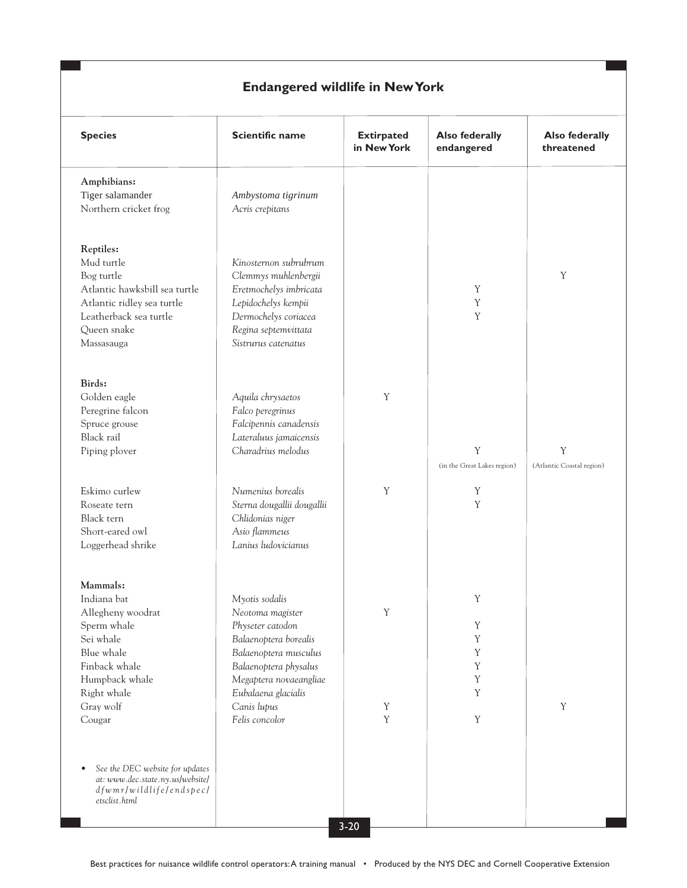# **Endangered wildlife in New York**

| <b>Species</b>                                                                                                                                              | <b>Scientific name</b>                                                                                                                                                                            | <b>Extirpated</b><br>in New York | <b>Also federally</b><br>endangered | <b>Also federally</b><br>threatened |
|-------------------------------------------------------------------------------------------------------------------------------------------------------------|---------------------------------------------------------------------------------------------------------------------------------------------------------------------------------------------------|----------------------------------|-------------------------------------|-------------------------------------|
| Amphibians:<br>Tiger salamander<br>Northern cricket frog                                                                                                    | Ambystoma tigrinum<br>Acris crepitans                                                                                                                                                             |                                  |                                     |                                     |
| Reptiles:<br>Mud turtle<br>Bog turtle<br>Atlantic hawksbill sea turtle<br>Atlantic ridley sea turtle<br>Leatherback sea turtle<br>Queen snake<br>Massasauga | Kinosternon subrubrum<br>Clemmys muhlenbergii<br>Eretmochelys imbricata<br>Lepidochelys kempii<br>Dermochelys coriacea<br>Regina septemvittata<br>Sistrurus catenatus                             |                                  | Y<br>Y<br>Y                         | Y                                   |
| Birds:<br>Golden eagle<br>Peregrine falcon<br>Spruce grouse<br>Black rail<br>Piping plover                                                                  | Aquila chrysaetos<br>Falco peregrinus<br>Falcipennis canadensis<br>Lateraluus jamaicensis<br>Charadrius melodus                                                                                   | Y                                | Y<br>(in the Great Lakes region)    | Y<br>(Atlantic Coastal region)      |
| Eskimo curlew<br>Roseate tern<br>Black tern<br>Short-eared owl<br>Loggerhead shrike                                                                         | Numenius borealis<br>Sterna dougallii dougallii<br>Chlidonias niger<br>Asio flammeus<br>Lanius ludovicianus                                                                                       | Y                                | Y<br>Y                              |                                     |
| Mammals:<br>Indiana bat<br>Allegheny woodrat<br>Sperm whale<br>Sei whale<br>Blue whale<br>Finback whale<br>Humpback whale<br>Right whale<br>Gray wolf       | Myotis sodalis<br>Neotoma magister<br>Physeter catodon<br>Balaenoptera borealis<br>Balaenoptera musculus<br>Balaenoptera physalus<br>Megaptera novaeangliae<br>Eubalaena glacialis<br>Canis lupus | Y<br>Y                           | Y<br>Y<br>Y<br>Y<br>Y<br>Y<br>Y     | $\mathbf Y$                         |
| Cougar<br>See the DEC website for updates<br>$\bullet$<br>at: www.dec.state.ny.us/website/<br>dfwmr/wildlifelendspec/<br>etsclist.html                      | Felis concolor                                                                                                                                                                                    | $\mathbf Y$<br>$3 - 20$          | $\mathbf Y$                         |                                     |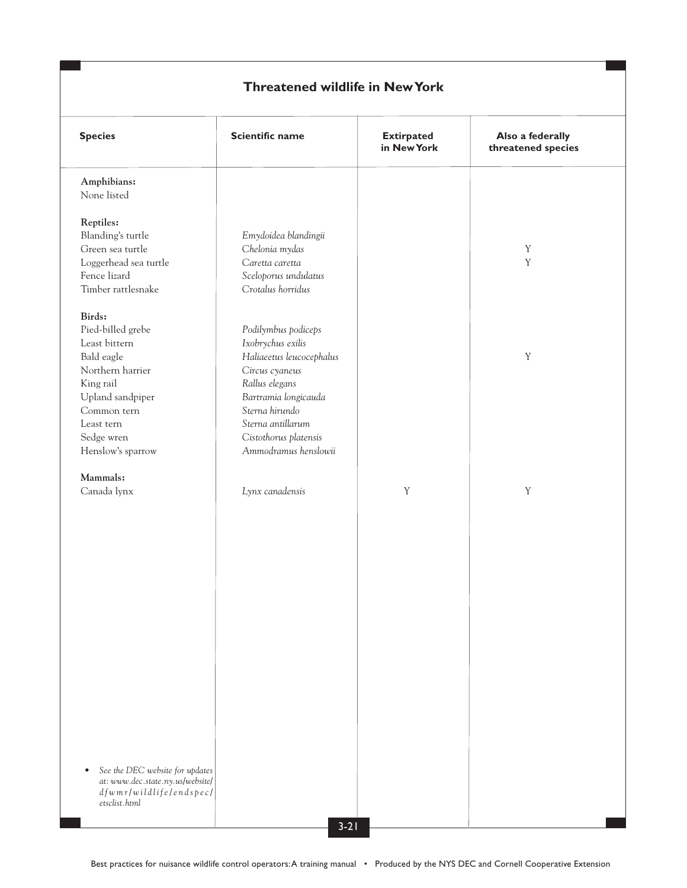| <b>Species</b>                               | Scientific name          | <b>Extirpated</b><br>in New York | Also a federally<br>threatened species |
|----------------------------------------------|--------------------------|----------------------------------|----------------------------------------|
| Amphibians:<br>None listed                   |                          |                                  |                                        |
| Reptiles:                                    |                          |                                  |                                        |
| Blanding's turtle                            | Emydoidea blandingii     |                                  |                                        |
| Green sea turtle                             | Chelonia mydas           |                                  | $\mathbf Y$                            |
| Loggerhead sea turtle                        | Caretta caretta          |                                  | $\mathbf Y$                            |
| Fence lizard                                 | Sceloporus undulatus     |                                  |                                        |
| Timber rattlesnake                           | Crotalus horridus        |                                  |                                        |
| Birds:                                       |                          |                                  |                                        |
| Pied-billed grebe                            | Podilymbus podiceps      |                                  |                                        |
| Least bittern                                | Ixobrychus exilis        |                                  |                                        |
| Bald eagle                                   | Haliaeetus leucocephalus |                                  | $\mathbf Y$                            |
| Northern harrier                             | Circus cyaneus           |                                  |                                        |
| King rail                                    | Rallus elegans           |                                  |                                        |
| Upland sandpiper                             | Bartramia longicauda     |                                  |                                        |
| Common tern                                  | Sterna hirundo           |                                  |                                        |
| Least tern                                   | Sterna antillarum        |                                  |                                        |
| Sedge wren                                   | Cistothorus platensis    |                                  |                                        |
| Henslow's sparrow                            | Ammodramus henslowii     |                                  |                                        |
| Mammals:                                     |                          |                                  |                                        |
| Canada lynx                                  | Lynx canadensis          | $\mathbf Y$                      | $\mathbf Y$                            |
|                                              |                          |                                  |                                        |
|                                              |                          |                                  |                                        |
|                                              |                          |                                  |                                        |
|                                              |                          |                                  |                                        |
|                                              |                          |                                  |                                        |
|                                              |                          |                                  |                                        |
|                                              |                          |                                  |                                        |
|                                              |                          |                                  |                                        |
|                                              |                          |                                  |                                        |
|                                              |                          |                                  |                                        |
|                                              |                          |                                  |                                        |
|                                              |                          |                                  |                                        |
|                                              |                          |                                  |                                        |
|                                              |                          |                                  |                                        |
|                                              |                          |                                  |                                        |
|                                              |                          |                                  |                                        |
|                                              |                          |                                  |                                        |
|                                              |                          |                                  |                                        |
|                                              |                          |                                  |                                        |
| See the DEC website for updates<br>$\bullet$ |                          |                                  |                                        |
| at: www.dec.state.ny.us/website/             |                          |                                  |                                        |
| dfwmr/wildlife/endspec/                      |                          |                                  |                                        |
| etsclist.html                                |                          |                                  |                                        |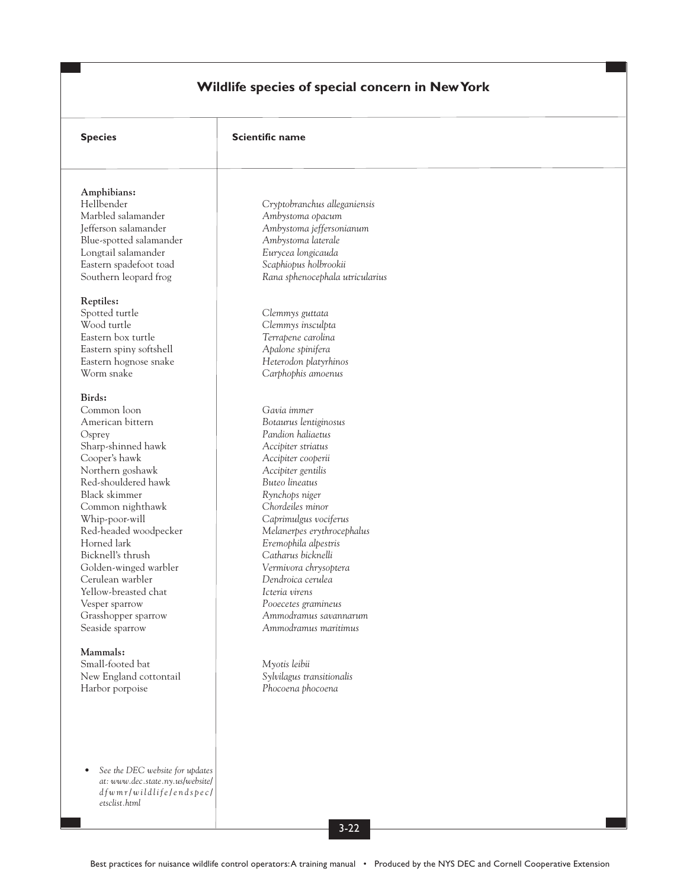# **Wildlife species of special concern in New York**

| <b>Species</b>                                                      | <b>Scientific name</b>                        |
|---------------------------------------------------------------------|-----------------------------------------------|
|                                                                     |                                               |
| Amphibians:                                                         |                                               |
| Hellbender                                                          | Cryptobranchus alleganiensis                  |
| Marbled salamander                                                  | Ambystoma opacum                              |
| Jefferson salamander                                                | Ambystoma jeffersonianum                      |
| Blue-spotted salamander                                             | Ambystoma laterale                            |
| Longtail salamander                                                 | Eurycea longicauda                            |
| Eastern spadefoot toad                                              | Scaphiopus holbrookii                         |
| Southern leopard frog                                               | Rana sphenocephala utricularius               |
| Reptiles:                                                           |                                               |
| Spotted turtle                                                      | Clemmys guttata                               |
| Wood turtle                                                         | Clemmys insculpta                             |
| Eastern box turtle                                                  | Terrapene carolina                            |
| Eastern spiny softshell                                             | Apalone spinifera                             |
| Eastern hognose snake                                               | Heterodon platyrhinos                         |
| Worm snake                                                          | Carphophis amoenus                            |
| Birds:                                                              |                                               |
| Common loon                                                         | Gavia immer                                   |
| American bittern                                                    | Botaurus lentiginosus                         |
|                                                                     | Pandion haliaetus                             |
| Osprey                                                              |                                               |
| Sharp-shinned hawk<br>Cooper's hawk                                 | Accipiter striatus                            |
| Northern goshawk                                                    | Accipiter cooperii<br>Accipiter gentilis      |
| Red-shouldered hawk                                                 | Buteo lineatus                                |
| Black skimmer                                                       |                                               |
|                                                                     | Rynchops niger<br>Chordeiles minor            |
| Common nighthawk                                                    |                                               |
| Whip-poor-will                                                      | Caprimulgus vociferus                         |
| Red-headed woodpecker                                               | Melanerpes erythrocephalus                    |
| Horned lark                                                         | Eremophila alpestris                          |
| Bicknell's thrush                                                   | Catharus bicknelli                            |
| Golden-winged warbler<br>Cerulean warbler                           | Vermivora chrysoptera<br>Dendroica cerulea    |
|                                                                     |                                               |
| Yellow-breasted chat                                                | Icteria virens                                |
| Vesper sparrow                                                      | Pooecetes gramineus                           |
| Grasshopper sparrow                                                 | Ammodramus savannarum<br>Ammodramus maritimus |
| Seaside sparrow                                                     |                                               |
| Mammals:                                                            |                                               |
| Small-footed bat                                                    | Myotis leibii                                 |
| New England cottontail                                              | Sylvilagus transitionalis                     |
| Harbor porpoise                                                     | Phocoena phocoena                             |
|                                                                     |                                               |
|                                                                     |                                               |
|                                                                     |                                               |
| See the DEC website for updates<br>at: www.dec.state.ny.us/website/ |                                               |
| dfwmr/wildlifelendspecl                                             |                                               |
| etsclist.html                                                       |                                               |
|                                                                     |                                               |
|                                                                     | $3 - 22$                                      |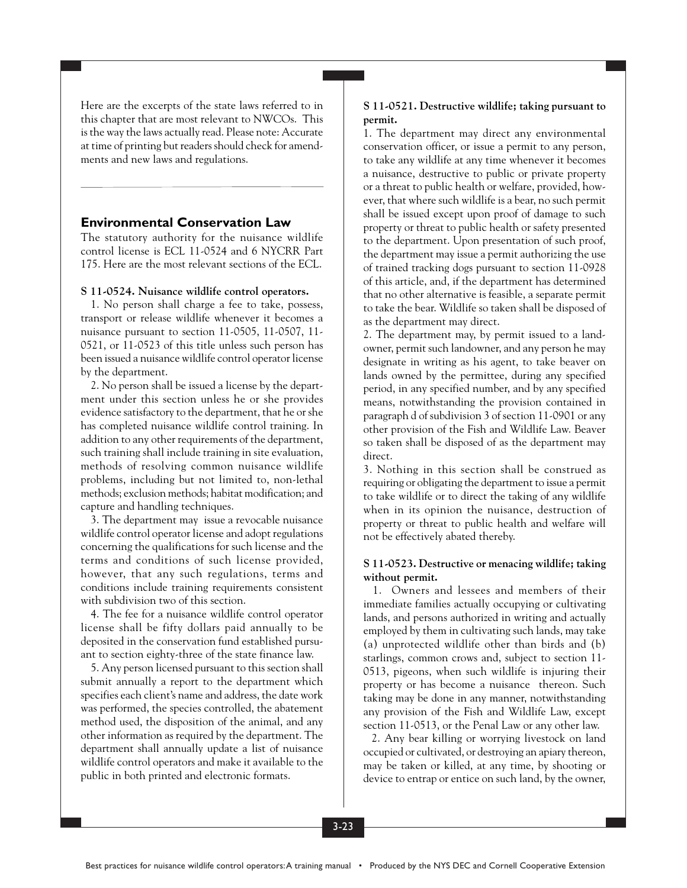Here are the excerpts of the state laws referred to in this chapter that are most relevant to NWCOs. This is the way the laws actually read. Please note: Accurate at time of printing but readers should check for amendments and new laws and regulations.

### **Environmental Conservation Law**

The statutory authority for the nuisance wildlife control license is ECL 11-0524 and 6 NYCRR Part 175. Here are the most relevant sections of the ECL.

#### **S 11-0524. Nuisance wildlife control operators.**

1. No person shall charge a fee to take, possess, transport or release wildlife whenever it becomes a nuisance pursuant to section 11-0505, 11-0507, 11- 0521, or 11-0523 of this title unless such person has been issued a nuisance wildlife control operator license by the department.

2. No person shall be issued a license by the department under this section unless he or she provides evidence satisfactory to the department, that he or she has completed nuisance wildlife control training. In addition to any other requirements of the department, such training shall include training in site evaluation, methods of resolving common nuisance wildlife problems, including but not limited to, non-lethal methods; exclusion methods; habitat modification; and capture and handling techniques.

3. The department may issue a revocable nuisance wildlife control operator license and adopt regulations concerning the qualifications for such license and the terms and conditions of such license provided, however, that any such regulations, terms and conditions include training requirements consistent with subdivision two of this section.

4. The fee for a nuisance wildlife control operator license shall be fifty dollars paid annually to be deposited in the conservation fund established pursuant to section eighty-three of the state finance law.

5. Any person licensed pursuant to this section shall submit annually a report to the department which specifies each client's name and address, the date work was performed, the species controlled, the abatement method used, the disposition of the animal, and any other information as required by the department. The department shall annually update a list of nuisance wildlife control operators and make it available to the public in both printed and electronic formats.

#### **S 11-0521. Destructive wildlife; taking pursuant to permit.**

1. The department may direct any environmental conservation officer, or issue a permit to any person, to take any wildlife at any time whenever it becomes a nuisance, destructive to public or private property or a threat to public health or welfare, provided, however, that where such wildlife is a bear, no such permit shall be issued except upon proof of damage to such property or threat to public health or safety presented to the department. Upon presentation of such proof, the department may issue a permit authorizing the use of trained tracking dogs pursuant to section 11-0928 of this article, and, if the department has determined that no other alternative is feasible, a separate permit to take the bear. Wildlife so taken shall be disposed of as the department may direct.

2. The department may, by permit issued to a landowner, permit such landowner, and any person he may designate in writing as his agent, to take beaver on lands owned by the permittee, during any specified period, in any specified number, and by any specified means, notwithstanding the provision contained in paragraph d of subdivision 3 of section 11-0901 or any other provision of the Fish and Wildlife Law. Beaver so taken shall be disposed of as the department may direct.

3. Nothing in this section shall be construed as requiring or obligating the department to issue a permit to take wildlife or to direct the taking of any wildlife when in its opinion the nuisance, destruction of property or threat to public health and welfare will not be effectively abated thereby.

#### **S 11-0523. Destructive or menacing wildlife; taking without permit.**

1. Owners and lessees and members of their immediate families actually occupying or cultivating lands, and persons authorized in writing and actually employed by them in cultivating such lands, may take (a) unprotected wildlife other than birds and (b) starlings, common crows and, subject to section 11- 0513, pigeons, when such wildlife is injuring their property or has become a nuisance thereon. Such taking may be done in any manner, notwithstanding any provision of the Fish and Wildlife Law, except section 11-0513, or the Penal Law or any other law.

2. Any bear killing or worrying livestock on land occupied or cultivated, or destroying an apiary thereon, may be taken or killed, at any time, by shooting or device to entrap or entice on such land, by the owner,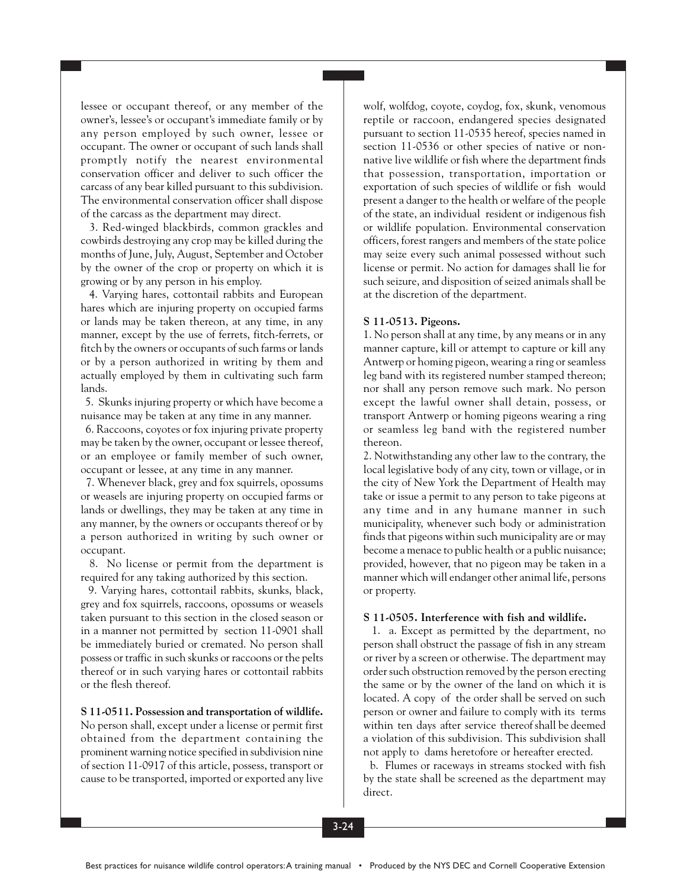lessee or occupant thereof, or any member of the owner's, lessee's or occupant's immediate family or by any person employed by such owner, lessee or occupant. The owner or occupant of such lands shall promptly notify the nearest environmental conservation officer and deliver to such officer the carcass of any bear killed pursuant to this subdivision. The environmental conservation officer shall dispose of the carcass as the department may direct.

3. Red-winged blackbirds, common grackles and cowbirds destroying any crop may be killed during the months of June, July, August, September and October by the owner of the crop or property on which it is growing or by any person in his employ.

4. Varying hares, cottontail rabbits and European hares which are injuring property on occupied farms or lands may be taken thereon, at any time, in any manner, except by the use of ferrets, fitch-ferrets, or fitch by the owners or occupants of such farms or lands or by a person authorized in writing by them and actually employed by them in cultivating such farm lands.

5. Skunks injuring property or which have become a nuisance may be taken at any time in any manner.

6. Raccoons, coyotes or fox injuring private property may be taken by the owner, occupant or lessee thereof, or an employee or family member of such owner, occupant or lessee, at any time in any manner.

7. Whenever black, grey and fox squirrels, opossums or weasels are injuring property on occupied farms or lands or dwellings, they may be taken at any time in any manner, by the owners or occupants thereof or by a person authorized in writing by such owner or occupant.

8. No license or permit from the department is required for any taking authorized by this section.

9. Varying hares, cottontail rabbits, skunks, black, grey and fox squirrels, raccoons, opossums or weasels taken pursuant to this section in the closed season or in a manner not permitted by section 11-0901 shall be immediately buried or cremated. No person shall possess or traffic in such skunks or raccoons or the pelts thereof or in such varying hares or cottontail rabbits or the flesh thereof.

**S 11-0511. Possession and transportation of wildlife.** No person shall, except under a license or permit first obtained from the department containing the prominent warning notice specified in subdivision nine of section 11-0917 of this article, possess, transport or cause to be transported, imported or exported any live

wolf, wolfdog, coyote, coydog, fox, skunk, venomous reptile or raccoon, endangered species designated pursuant to section 11-0535 hereof, species named in section 11-0536 or other species of native or nonnative live wildlife or fish where the department finds that possession, transportation, importation or exportation of such species of wildlife or fish would present a danger to the health or welfare of the people of the state, an individual resident or indigenous fish or wildlife population. Environmental conservation officers, forest rangers and members of the state police may seize every such animal possessed without such license or permit. No action for damages shall lie for such seizure, and disposition of seized animals shall be at the discretion of the department.

#### **S 11-0513. Pigeons.**

1. No person shall at any time, by any means or in any manner capture, kill or attempt to capture or kill any Antwerp or homing pigeon, wearing a ring or seamless leg band with its registered number stamped thereon; nor shall any person remove such mark. No person except the lawful owner shall detain, possess, or transport Antwerp or homing pigeons wearing a ring or seamless leg band with the registered number thereon.

2. Notwithstanding any other law to the contrary, the local legislative body of any city, town or village, or in the city of New York the Department of Health may take or issue a permit to any person to take pigeons at any time and in any humane manner in such municipality, whenever such body or administration finds that pigeons within such municipality are or may become a menace to public health or a public nuisance; provided, however, that no pigeon may be taken in a manner which will endanger other animal life, persons or property.

### **S 11-0505. Interference with fish and wildlife.**

1. a. Except as permitted by the department, no person shall obstruct the passage of fish in any stream or river by a screen or otherwise. The department may order such obstruction removed by the person erecting the same or by the owner of the land on which it is located. A copy of the order shall be served on such person or owner and failure to comply with its terms within ten days after service thereof shall be deemed a violation of this subdivision. This subdivision shall not apply to dams heretofore or hereafter erected.

b. Flumes or raceways in streams stocked with fish by the state shall be screened as the department may direct.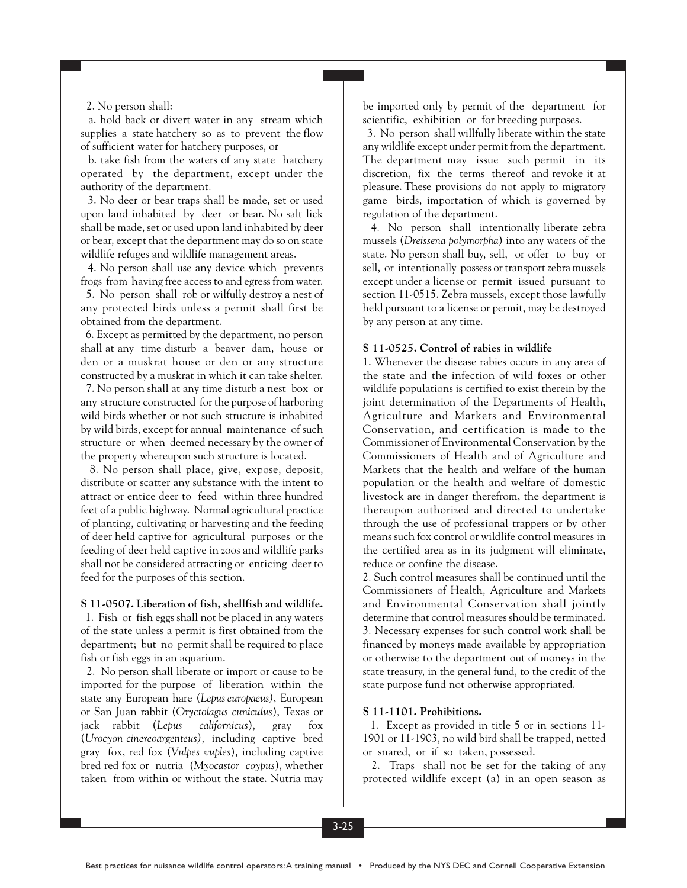#### 2. No person shall:

a. hold back or divert water in any stream which supplies a state hatchery so as to prevent the flow of sufficient water for hatchery purposes, or

b. take fish from the waters of any state hatchery operated by the department, except under the authority of the department.

3. No deer or bear traps shall be made, set or used upon land inhabited by deer or bear. No salt lick shall be made, set or used upon land inhabited by deer or bear, except that the department may do so on state wildlife refuges and wildlife management areas.

4. No person shall use any device which prevents frogs from having free access to and egress from water.

5. No person shall rob or wilfully destroy a nest of any protected birds unless a permit shall first be obtained from the department.

6. Except as permitted by the department, no person shall at any time disturb a beaver dam, house or den or a muskrat house or den or any structure constructed by a muskrat in which it can take shelter.

7. No person shall at any time disturb a nest box or any structure constructed for the purpose of harboring wild birds whether or not such structure is inhabited by wild birds, except for annual maintenance of such structure or when deemed necessary by the owner of the property whereupon such structure is located.

8. No person shall place, give, expose, deposit, distribute or scatter any substance with the intent to attract or entice deer to feed within three hundred feet of a public highway. Normal agricultural practice of planting, cultivating or harvesting and the feeding of deer held captive for agricultural purposes or the feeding of deer held captive in zoos and wildlife parks shall not be considered attracting or enticing deer to feed for the purposes of this section.

#### **S 11-0507. Liberation of fish, shellfish and wildlife.**

1. Fish or fish eggs shall not be placed in any waters of the state unless a permit is first obtained from the department; but no permit shall be required to place fish or fish eggs in an aquarium.

2. No person shall liberate or import or cause to be imported for the purpose of liberation within the state any European hare (*Lepus europaeus)*, European or San Juan rabbit (*Oryctolagus cuniculus*), Texas or jack rabbit (*Lepus californicus*), gray fox (*Urocyon cinereoargenteus)*, including captive bred gray fox, red fox (*Vulpes vuples*), including captive bred red fox or nutria (*Myocastor coypus*), whether taken from within or without the state. Nutria may be imported only by permit of the department for scientific, exhibition or for breeding purposes.

3. No person shall willfully liberate within the state any wildlife except under permit from the department. The department may issue such permit in its discretion, fix the terms thereof and revoke it at pleasure. These provisions do not apply to migratory game birds, importation of which is governed by regulation of the department.

4. No person shall intentionally liberate zebra mussels (*Dreissena polymorpha*) into any waters of the state. No person shall buy, sell, or offer to buy or sell, or intentionally possess or transport zebra mussels except under a license or permit issued pursuant to section 11-0515. Zebra mussels, except those lawfully held pursuant to a license or permit, may be destroyed by any person at any time.

#### **S 11-0525. Control of rabies in wildlife**

1. Whenever the disease rabies occurs in any area of the state and the infection of wild foxes or other wildlife populations is certified to exist therein by the joint determination of the Departments of Health, Agriculture and Markets and Environmental Conservation, and certification is made to the Commissioner of Environmental Conservation by the Commissioners of Health and of Agriculture and Markets that the health and welfare of the human population or the health and welfare of domestic livestock are in danger therefrom, the department is thereupon authorized and directed to undertake through the use of professional trappers or by other means such fox control or wildlife control measures in the certified area as in its judgment will eliminate, reduce or confine the disease.

2. Such control measures shall be continued until the Commissioners of Health, Agriculture and Markets and Environmental Conservation shall jointly determine that control measures should be terminated. 3. Necessary expenses for such control work shall be financed by moneys made available by appropriation or otherwise to the department out of moneys in the state treasury, in the general fund, to the credit of the state purpose fund not otherwise appropriated.

### **S 11-1101. Prohibitions.**

1. Except as provided in title 5 or in sections 11- 1901 or 11-1903, no wild bird shall be trapped, netted or snared, or if so taken, possessed.

2. Traps shall not be set for the taking of any protected wildlife except (a) in an open season as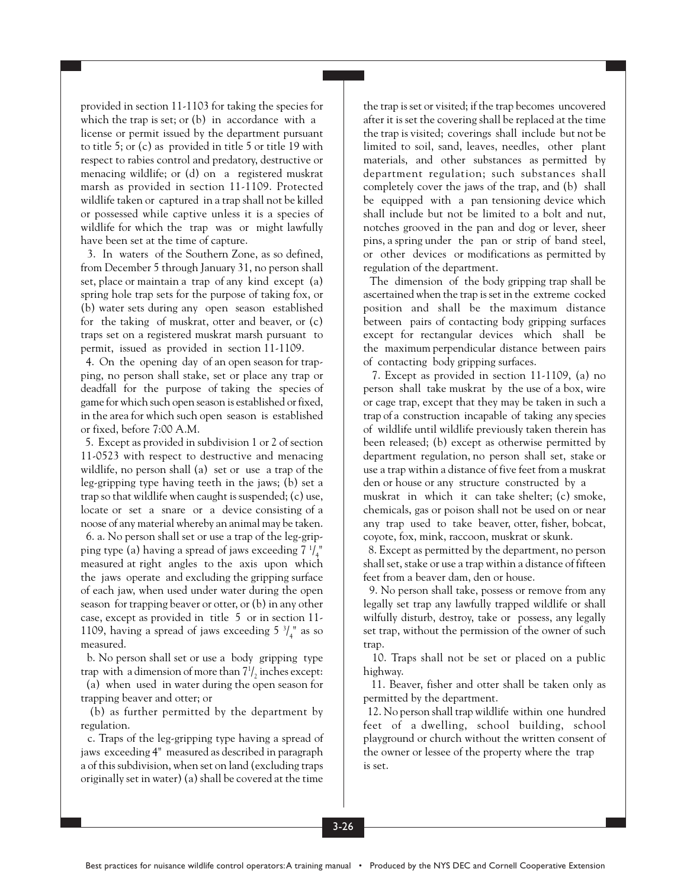provided in section 11-1103 for taking the species for which the trap is set; or (b) in accordance with a license or permit issued by the department pursuant to title 5; or (c) as provided in title 5 or title 19 with respect to rabies control and predatory, destructive or menacing wildlife; or (d) on a registered muskrat marsh as provided in section 11-1109. Protected wildlife taken or captured in a trap shall not be killed or possessed while captive unless it is a species of wildlife for which the trap was or might lawfully have been set at the time of capture.

3. In waters of the Southern Zone, as so defined, from December 5 through January 31, no person shall set, place or maintain a trap of any kind except (a) spring hole trap sets for the purpose of taking fox, or (b) water sets during any open season established for the taking of muskrat, otter and beaver, or (c) traps set on a registered muskrat marsh pursuant to permit, issued as provided in section 11-1109.

4. On the opening day of an open season for trapping, no person shall stake, set or place any trap or deadfall for the purpose of taking the species of game for which such open season is established or fixed, in the area for which such open season is established or fixed, before 7:00 A.M.

5. Except as provided in subdivision 1 or 2 of section 11-0523 with respect to destructive and menacing wildlife, no person shall (a) set or use a trap of the leg-gripping type having teeth in the jaws; (b) set a trap so that wildlife when caught is suspended; (c) use, locate or set a snare or a device consisting of a noose of any material whereby an animal may be taken.

 6. a. No person shall set or use a trap of the leg-gripping type (a) having a spread of jaws exceeding 7  $\frac{1}{4}$ " measured at right angles to the axis upon which the jaws operate and excluding the gripping surface of each jaw, when used under water during the open season for trapping beaver or otter, or (b) in any other case, except as provided in title 5 or in section 11- 1109, having a spread of jaws exceeding  $5 \frac{3}{4}$ " as so measured.

 b. No person shall set or use a body gripping type trap with a dimension of more than  $7^{1}/_{2}$  inches except:

(a) when used in water during the open season for trapping beaver and otter; or

(b) as further permitted by the department by regulation.

c. Traps of the leg-gripping type having a spread of jaws exceeding 4" measured as described in paragraph a of this subdivision, when set on land (excluding traps originally set in water) (a) shall be covered at the time

the trap is set or visited; if the trap becomes uncovered after it is set the covering shall be replaced at the time the trap is visited; coverings shall include but not be limited to soil, sand, leaves, needles, other plant materials, and other substances as permitted by department regulation; such substances shall completely cover the jaws of the trap, and (b) shall be equipped with a pan tensioning device which shall include but not be limited to a bolt and nut, notches grooved in the pan and dog or lever, sheer pins, a spring under the pan or strip of band steel, or other devices or modifications as permitted by regulation of the department.

The dimension of the body gripping trap shall be ascertained when the trap is set in the extreme cocked position and shall be the maximum distance between pairs of contacting body gripping surfaces except for rectangular devices which shall be the maximum perpendicular distance between pairs of contacting body gripping surfaces.

7. Except as provided in section 11-1109, (a) no person shall take muskrat by the use of a box, wire or cage trap, except that they may be taken in such a trap of a construction incapable of taking any species of wildlife until wildlife previously taken therein has been released; (b) except as otherwise permitted by department regulation, no person shall set, stake or use a trap within a distance of five feet from a muskrat den or house or any structure constructed by a muskrat in which it can take shelter; (c) smoke, chemicals, gas or poison shall not be used on or near any trap used to take beaver, otter, fisher, bobcat, coyote, fox, mink, raccoon, muskrat or skunk.

8. Except as permitted by the department, no person shall set, stake or use a trap within a distance of fifteen feet from a beaver dam, den or house.

9. No person shall take, possess or remove from any legally set trap any lawfully trapped wildlife or shall wilfully disturb, destroy, take or possess, any legally set trap, without the permission of the owner of such trap.

10. Traps shall not be set or placed on a public highway.

11. Beaver, fisher and otter shall be taken only as permitted by the department.

12. No person shall trap wildlife within one hundred feet of a dwelling, school building, school playground or church without the written consent of the owner or lessee of the property where the trap is set.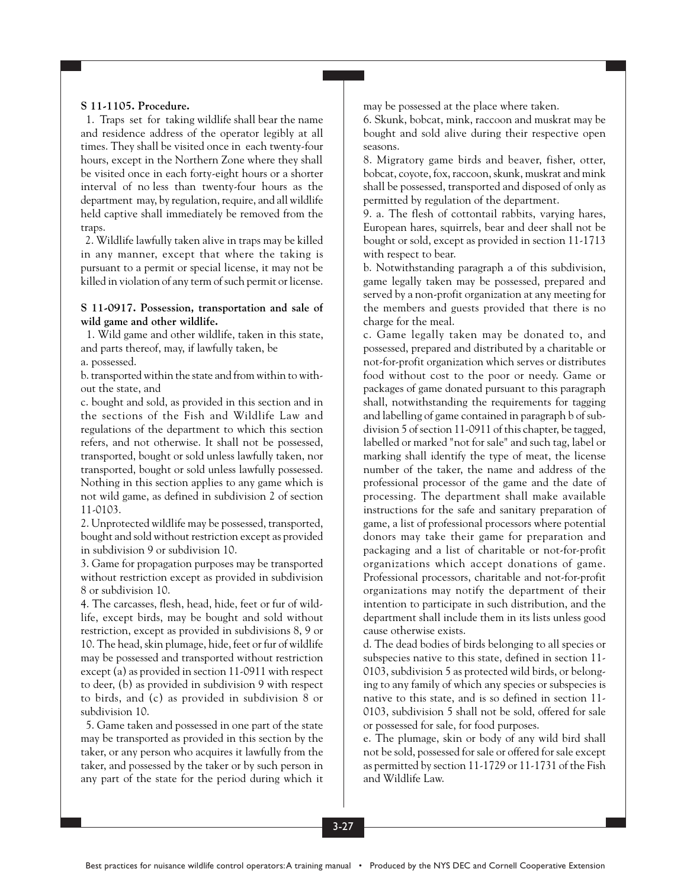### **S 11-1105. Procedure.**

1. Traps set for taking wildlife shall bear the name and residence address of the operator legibly at all times. They shall be visited once in each twenty-four hours, except in the Northern Zone where they shall be visited once in each forty-eight hours or a shorter interval of no less than twenty-four hours as the department may, by regulation, require, and all wildlife held captive shall immediately be removed from the traps.

2. Wildlife lawfully taken alive in traps may be killed in any manner, except that where the taking is pursuant to a permit or special license, it may not be killed in violation of any term of such permit or license.

#### **S 11-0917. Possession, transportation and sale of wild game and other wildlife.**

 1. Wild game and other wildlife, taken in this state, and parts thereof, may, if lawfully taken, be a. possessed.

b. transported within the state and from within to without the state, and

c. bought and sold, as provided in this section and in the sections of the Fish and Wildlife Law and regulations of the department to which this section refers, and not otherwise. It shall not be possessed, transported, bought or sold unless lawfully taken, nor transported, bought or sold unless lawfully possessed. Nothing in this section applies to any game which is not wild game, as defined in subdivision 2 of section 11-0103.

2. Unprotected wildlife may be possessed, transported, bought and sold without restriction except as provided in subdivision 9 or subdivision 10.

3. Game for propagation purposes may be transported without restriction except as provided in subdivision 8 or subdivision 10.

4. The carcasses, flesh, head, hide, feet or fur of wildlife, except birds, may be bought and sold without restriction, except as provided in subdivisions 8, 9 or 10. The head, skin plumage, hide, feet or fur of wildlife may be possessed and transported without restriction except (a) as provided in section 11-0911 with respect to deer, (b) as provided in subdivision 9 with respect to birds, and (c) as provided in subdivision 8 or subdivision 10.

5. Game taken and possessed in one part of the state may be transported as provided in this section by the taker, or any person who acquires it lawfully from the taker, and possessed by the taker or by such person in any part of the state for the period during which it may be possessed at the place where taken.

6. Skunk, bobcat, mink, raccoon and muskrat may be bought and sold alive during their respective open seasons.

8. Migratory game birds and beaver, fisher, otter, bobcat, coyote, fox, raccoon, skunk, muskrat and mink shall be possessed, transported and disposed of only as permitted by regulation of the department.

9. a. The flesh of cottontail rabbits, varying hares, European hares, squirrels, bear and deer shall not be bought or sold, except as provided in section 11-1713 with respect to bear.

b. Notwithstanding paragraph a of this subdivision, game legally taken may be possessed, prepared and served by a non-profit organization at any meeting for the members and guests provided that there is no charge for the meal.

c. Game legally taken may be donated to, and possessed, prepared and distributed by a charitable or not-for-profit organization which serves or distributes food without cost to the poor or needy. Game or packages of game donated pursuant to this paragraph shall, notwithstanding the requirements for tagging and labelling of game contained in paragraph b of subdivision 5 of section 11-0911 of this chapter, be tagged, labelled or marked "not for sale" and such tag, label or marking shall identify the type of meat, the license number of the taker, the name and address of the professional processor of the game and the date of processing. The department shall make available instructions for the safe and sanitary preparation of game, a list of professional processors where potential donors may take their game for preparation and packaging and a list of charitable or not-for-profit organizations which accept donations of game. Professional processors, charitable and not-for-profit organizations may notify the department of their intention to participate in such distribution, and the department shall include them in its lists unless good cause otherwise exists.

d. The dead bodies of birds belonging to all species or subspecies native to this state, defined in section 11- 0103, subdivision 5 as protected wild birds, or belonging to any family of which any species or subspecies is native to this state, and is so defined in section 11- 0103, subdivision 5 shall not be sold, offered for sale or possessed for sale, for food purposes.

e. The plumage, skin or body of any wild bird shall not be sold, possessed for sale or offered for sale except as permitted by section 11-1729 or 11-1731 of the Fish and Wildlife Law.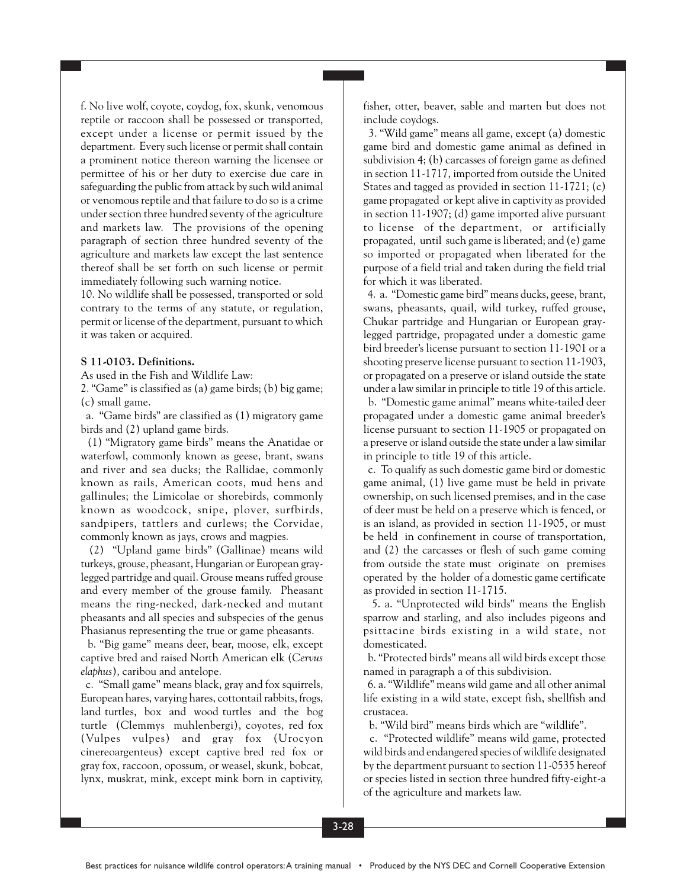f. No live wolf, coyote, coydog, fox, skunk, venomous reptile or raccoon shall be possessed or transported, except under a license or permit issued by the department. Every such license or permit shall contain a prominent notice thereon warning the licensee or permittee of his or her duty to exercise due care in safeguarding the public from attack by such wild animal or venomous reptile and that failure to do so is a crime under section three hundred seventy of the agriculture and markets law. The provisions of the opening paragraph of section three hundred seventy of the agriculture and markets law except the last sentence thereof shall be set forth on such license or permit immediately following such warning notice.

10. No wildlife shall be possessed, transported or sold contrary to the terms of any statute, or regulation, permit or license of the department, pursuant to which it was taken or acquired.

### **S 11-0103. Definitions.**

As used in the Fish and Wildlife Law:

2. "Game" is classified as (a) game birds; (b) big game; (c) small game.

a. "Game birds" are classified as (1) migratory game birds and (2) upland game birds.

(1) "Migratory game birds" means the Anatidae or waterfowl, commonly known as geese, brant, swans and river and sea ducks; the Rallidae, commonly known as rails, American coots, mud hens and gallinules; the Limicolae or shorebirds, commonly known as woodcock, snipe, plover, surfbirds, sandpipers, tattlers and curlews; the Corvidae, commonly known as jays, crows and magpies.

(2) "Upland game birds" (Gallinae) means wild turkeys, grouse, pheasant, Hungarian or European graylegged partridge and quail. Grouse means ruffed grouse and every member of the grouse family. Pheasant means the ring-necked, dark-necked and mutant pheasants and all species and subspecies of the genus Phasianus representing the true or game pheasants.

b. "Big game" means deer, bear, moose, elk, except captive bred and raised North American elk (*Cervus elaphus*), caribou and antelope.

c. "Small game" means black, gray and fox squirrels, European hares, varying hares, cottontail rabbits, frogs, land turtles, box and wood turtles and the bog turtle (Clemmys muhlenbergi), coyotes, red fox (Vulpes vulpes) and gray fox (Urocyon cinereoargenteus) except captive bred red fox or gray fox, raccoon, opossum, or weasel, skunk, bobcat, lynx, muskrat, mink, except mink born in captivity, fisher, otter, beaver, sable and marten but does not include coydogs.

3. "Wild game" means all game, except (a) domestic game bird and domestic game animal as defined in subdivision 4; (b) carcasses of foreign game as defined in section 11-1717, imported from outside the United States and tagged as provided in section 11-1721; (c) game propagated or kept alive in captivity as provided in section 11-1907; (d) game imported alive pursuant to license of the department, or artificially propagated, until such game is liberated; and (e) game so imported or propagated when liberated for the purpose of a field trial and taken during the field trial for which it was liberated.

4. a. "Domestic game bird" means ducks, geese, brant, swans, pheasants, quail, wild turkey, ruffed grouse, Chukar partridge and Hungarian or European graylegged partridge, propagated under a domestic game bird breeder's license pursuant to section 11-1901 or a shooting preserve license pursuant to section 11-1903, or propagated on a preserve or island outside the state under a law similar in principle to title 19 of this article.

b. "Domestic game animal" means white-tailed deer propagated under a domestic game animal breeder's license pursuant to section 11-1905 or propagated on a preserve or island outside the state under a law similar in principle to title 19 of this article.

c. To qualify as such domestic game bird or domestic game animal, (1) live game must be held in private ownership, on such licensed premises, and in the case of deer must be held on a preserve which is fenced, or is an island, as provided in section 11-1905, or must be held in confinement in course of transportation, and (2) the carcasses or flesh of such game coming from outside the state must originate on premises operated by the holder of a domestic game certificate as provided in section 11-1715.

5. a. "Unprotected wild birds" means the English sparrow and starling, and also includes pigeons and psittacine birds existing in a wild state, not domesticated.

b. "Protected birds" means all wild birds except those named in paragraph a of this subdivision.

6. a. "Wildlife" means wild game and all other animal life existing in a wild state, except fish, shellfish and crustacea.

b. "Wild bird" means birds which are "wildlife".

c. "Protected wildlife" means wild game, protected wild birds and endangered species of wildlife designated by the department pursuant to section 11-0535 hereof or species listed in section three hundred fifty-eight-a of the agriculture and markets law.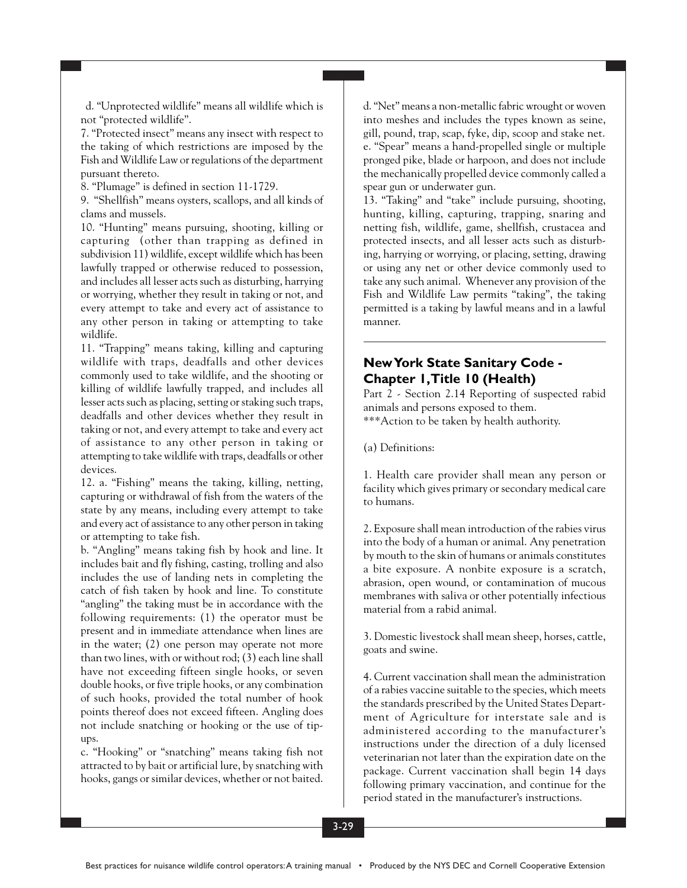d. "Unprotected wildlife" means all wildlife which is not "protected wildlife".

7. "Protected insect" means any insect with respect to the taking of which restrictions are imposed by the Fish and Wildlife Law or regulations of the department pursuant thereto.

8. "Plumage" is defined in section 11-1729.

9. "Shellfish" means oysters, scallops, and all kinds of clams and mussels.

10. "Hunting" means pursuing, shooting, killing or capturing (other than trapping as defined in subdivision 11) wildlife, except wildlife which has been lawfully trapped or otherwise reduced to possession, and includes all lesser acts such as disturbing, harrying or worrying, whether they result in taking or not, and every attempt to take and every act of assistance to any other person in taking or attempting to take wildlife.

11. "Trapping" means taking, killing and capturing wildlife with traps, deadfalls and other devices commonly used to take wildlife, and the shooting or killing of wildlife lawfully trapped, and includes all lesser acts such as placing, setting or staking such traps, deadfalls and other devices whether they result in taking or not, and every attempt to take and every act of assistance to any other person in taking or attempting to take wildlife with traps, deadfalls or other devices.

12. a. "Fishing" means the taking, killing, netting, capturing or withdrawal of fish from the waters of the state by any means, including every attempt to take and every act of assistance to any other person in taking or attempting to take fish.

b. "Angling" means taking fish by hook and line. It includes bait and fly fishing, casting, trolling and also includes the use of landing nets in completing the catch of fish taken by hook and line. To constitute "angling" the taking must be in accordance with the following requirements: (1) the operator must be present and in immediate attendance when lines are in the water; (2) one person may operate not more than two lines, with or without rod; (3) each line shall have not exceeding fifteen single hooks, or seven double hooks, or five triple hooks, or any combination of such hooks, provided the total number of hook points thereof does not exceed fifteen. Angling does not include snatching or hooking or the use of tipups.

c. "Hooking" or "snatching" means taking fish not attracted to by bait or artificial lure, by snatching with hooks, gangs or similar devices, whether or not baited. d. "Net" means a non-metallic fabric wrought or woven into meshes and includes the types known as seine, gill, pound, trap, scap, fyke, dip, scoop and stake net. e. "Spear" means a hand-propelled single or multiple pronged pike, blade or harpoon, and does not include the mechanically propelled device commonly called a spear gun or underwater gun.

13. "Taking" and "take" include pursuing, shooting, hunting, killing, capturing, trapping, snaring and netting fish, wildlife, game, shellfish, crustacea and protected insects, and all lesser acts such as disturbing, harrying or worrying, or placing, setting, drawing or using any net or other device commonly used to take any such animal. Whenever any provision of the Fish and Wildlife Law permits "taking", the taking permitted is a taking by lawful means and in a lawful manner.

## **New York State Sanitary Code - Chapter 1, Title 10 (Health)**

Part 2 - Section 2.14 Reporting of suspected rabid animals and persons exposed to them. \*\*\*Action to be taken by health authority.

(a) Definitions:

1. Health care provider shall mean any person or facility which gives primary or secondary medical care to humans.

2. Exposure shall mean introduction of the rabies virus into the body of a human or animal. Any penetration by mouth to the skin of humans or animals constitutes a bite exposure. A nonbite exposure is a scratch, abrasion, open wound, or contamination of mucous membranes with saliva or other potentially infectious material from a rabid animal.

3. Domestic livestock shall mean sheep, horses, cattle, goats and swine.

4. Current vaccination shall mean the administration of a rabies vaccine suitable to the species, which meets the standards prescribed by the United States Department of Agriculture for interstate sale and is administered according to the manufacturer's instructions under the direction of a duly licensed veterinarian not later than the expiration date on the package. Current vaccination shall begin 14 days following primary vaccination, and continue for the period stated in the manufacturer's instructions.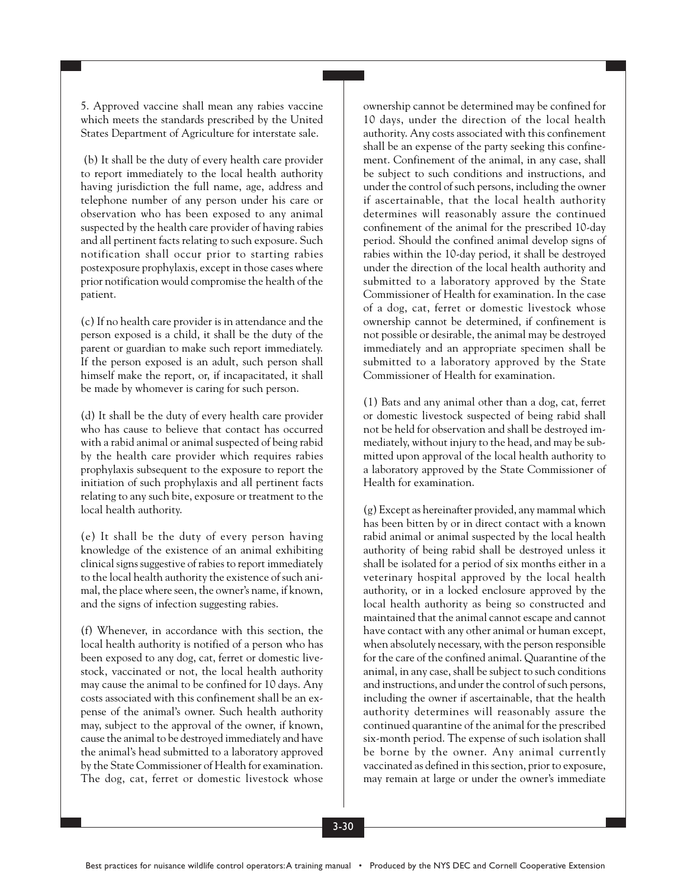5. Approved vaccine shall mean any rabies vaccine which meets the standards prescribed by the United States Department of Agriculture for interstate sale.

(b) It shall be the duty of every health care provider to report immediately to the local health authority having jurisdiction the full name, age, address and telephone number of any person under his care or observation who has been exposed to any animal suspected by the health care provider of having rabies and all pertinent facts relating to such exposure. Such notification shall occur prior to starting rabies postexposure prophylaxis, except in those cases where prior notification would compromise the health of the patient.

(c) If no health care provider is in attendance and the person exposed is a child, it shall be the duty of the parent or guardian to make such report immediately. If the person exposed is an adult, such person shall himself make the report, or, if incapacitated, it shall be made by whomever is caring for such person.

(d) It shall be the duty of every health care provider who has cause to believe that contact has occurred with a rabid animal or animal suspected of being rabid by the health care provider which requires rabies prophylaxis subsequent to the exposure to report the initiation of such prophylaxis and all pertinent facts relating to any such bite, exposure or treatment to the local health authority.

(e) It shall be the duty of every person having knowledge of the existence of an animal exhibiting clinical signs suggestive of rabies to report immediately to the local health authority the existence of such animal, the place where seen, the owner's name, if known, and the signs of infection suggesting rabies.

(f) Whenever, in accordance with this section, the local health authority is notified of a person who has been exposed to any dog, cat, ferret or domestic livestock, vaccinated or not, the local health authority may cause the animal to be confined for 10 days. Any costs associated with this confinement shall be an expense of the animal's owner. Such health authority may, subject to the approval of the owner, if known, cause the animal to be destroyed immediately and have the animal's head submitted to a laboratory approved by the State Commissioner of Health for examination. The dog, cat, ferret or domestic livestock whose ownership cannot be determined may be confined for 10 days, under the direction of the local health authority. Any costs associated with this confinement shall be an expense of the party seeking this confinement. Confinement of the animal, in any case, shall be subject to such conditions and instructions, and under the control of such persons, including the owner if ascertainable, that the local health authority determines will reasonably assure the continued confinement of the animal for the prescribed 10-day period. Should the confined animal develop signs of rabies within the 10-day period, it shall be destroyed under the direction of the local health authority and submitted to a laboratory approved by the State Commissioner of Health for examination. In the case of a dog, cat, ferret or domestic livestock whose ownership cannot be determined, if confinement is not possible or desirable, the animal may be destroyed immediately and an appropriate specimen shall be submitted to a laboratory approved by the State Commissioner of Health for examination.

(1) Bats and any animal other than a dog, cat, ferret or domestic livestock suspected of being rabid shall not be held for observation and shall be destroyed immediately, without injury to the head, and may be submitted upon approval of the local health authority to a laboratory approved by the State Commissioner of Health for examination.

(g) Except as hereinafter provided, any mammal which has been bitten by or in direct contact with a known rabid animal or animal suspected by the local health authority of being rabid shall be destroyed unless it shall be isolated for a period of six months either in a veterinary hospital approved by the local health authority, or in a locked enclosure approved by the local health authority as being so constructed and maintained that the animal cannot escape and cannot have contact with any other animal or human except, when absolutely necessary, with the person responsible for the care of the confined animal. Quarantine of the animal, in any case, shall be subject to such conditions and instructions, and under the control of such persons, including the owner if ascertainable, that the health authority determines will reasonably assure the continued quarantine of the animal for the prescribed six-month period. The expense of such isolation shall be borne by the owner. Any animal currently vaccinated as defined in this section, prior to exposure, may remain at large or under the owner's immediate